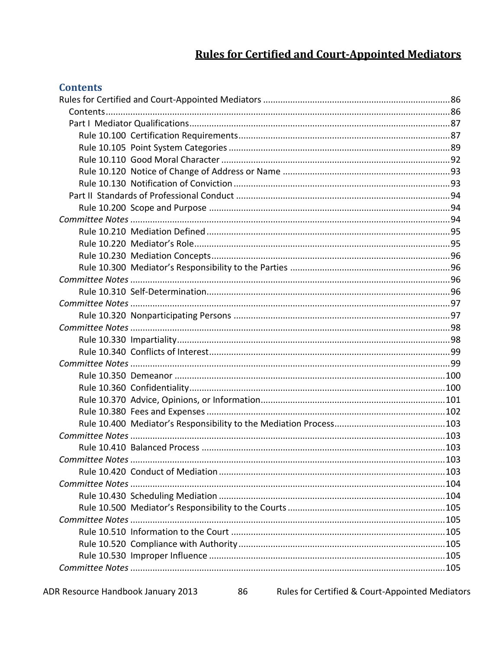# **Rules for Certified and Court-Appointed Mediators**

## <span id="page-0-1"></span><span id="page-0-0"></span>**Contents**

ADR Resource Handbook January 2013 86

Rules for Certified & Court-Appointed Mediators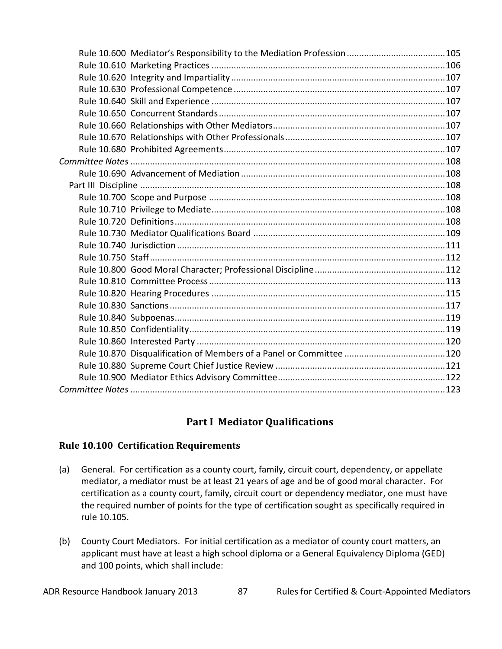## **Part I Mediator Qualifications**

### <span id="page-1-1"></span><span id="page-1-0"></span>**Rule 10.100 Certification Requirements**

- (a) General. For certification as a county court, family, circuit court, dependency, or appellate mediator, a mediator must be at least 21 years of age and be of good moral character. For certification as a county court, family, circuit court or dependency mediator, one must have the required number of points for the type of certification sought as specifically required in rule 10.105.
- (b) County Court Mediators. For initial certification as a mediator of county court matters, an applicant must have at least a high school diploma or a General Equivalency Diploma (GED) and 100 points, which shall include:

ADR Resource Handbook January 2013 87 Rules for Certified & Court-Appointed Mediators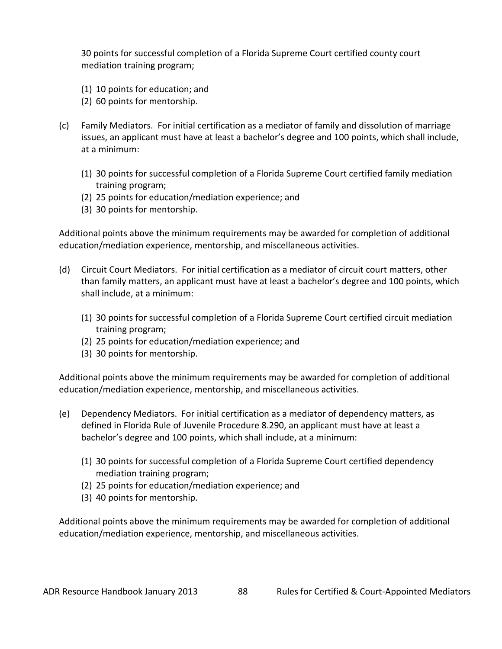30 points for successful completion of a Florida Supreme Court certified county court mediation training program;

- (1) 10 points for education; and
- (2) 60 points for mentorship.
- (c) Family Mediators. For initial certification as a mediator of family and dissolution of marriage issues, an applicant must have at least a bachelor's degree and 100 points, which shall include, at a minimum:
	- (1) 30 points for successful completion of a Florida Supreme Court certified family mediation training program;
	- (2) 25 points for education/mediation experience; and
	- (3) 30 points for mentorship.

Additional points above the minimum requirements may be awarded for completion of additional education/mediation experience, mentorship, and miscellaneous activities.

- (d) Circuit Court Mediators. For initial certification as a mediator of circuit court matters, other than family matters, an applicant must have at least a bachelor's degree and 100 points, which shall include, at a minimum:
	- (1) 30 points for successful completion of a Florida Supreme Court certified circuit mediation training program;
	- (2) 25 points for education/mediation experience; and
	- (3) 30 points for mentorship.

Additional points above the minimum requirements may be awarded for completion of additional education/mediation experience, mentorship, and miscellaneous activities.

- (e) Dependency Mediators. For initial certification as a mediator of dependency matters, as defined in Florida Rule of Juvenile Procedure 8.290, an applicant must have at least a bachelor's degree and 100 points, which shall include, at a minimum:
	- (1) 30 points for successful completion of a Florida Supreme Court certified dependency mediation training program;
	- (2) 25 points for education/mediation experience; and
	- (3) 40 points for mentorship.

Additional points above the minimum requirements may be awarded for completion of additional education/mediation experience, mentorship, and miscellaneous activities.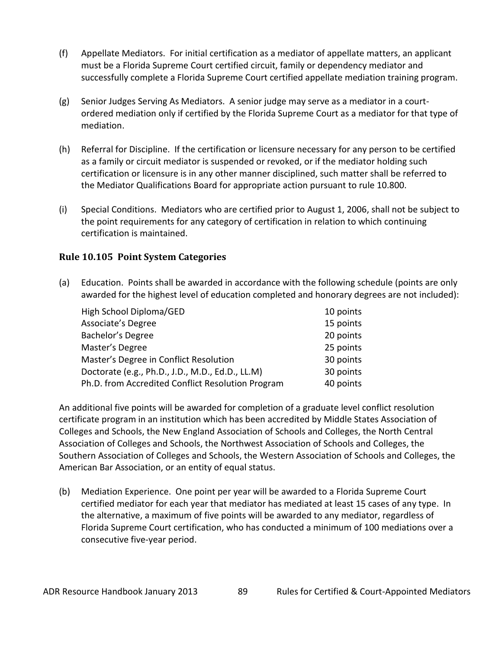- (f) Appellate Mediators. For initial certification as a mediator of appellate matters, an applicant must be a Florida Supreme Court certified circuit, family or dependency mediator and successfully complete a Florida Supreme Court certified appellate mediation training program.
- (g) Senior Judges Serving As Mediators. A senior judge may serve as a mediator in a courtordered mediation only if certified by the Florida Supreme Court as a mediator for that type of mediation.
- (h) Referral for Discipline. If the certification or licensure necessary for any person to be certified as a family or circuit mediator is suspended or revoked, or if the mediator holding such certification or licensure is in any other manner disciplined, such matter shall be referred to the Mediator Qualifications Board for appropriate action pursuant to rule 10.800.
- (i) Special Conditions. Mediators who are certified prior to August 1, 2006, shall not be subject to the point requirements for any category of certification in relation to which continuing certification is maintained.

### <span id="page-3-0"></span>**Rule 10.105 Point System Categories**

(a) Education. Points shall be awarded in accordance with the following schedule (points are only awarded for the highest level of education completed and honorary degrees are not included):

| High School Diploma/GED                           | 10 points |
|---------------------------------------------------|-----------|
| Associate's Degree                                | 15 points |
| Bachelor's Degree                                 | 20 points |
| Master's Degree                                   | 25 points |
| Master's Degree in Conflict Resolution            | 30 points |
| Doctorate (e.g., Ph.D., J.D., M.D., Ed.D., LL.M)  | 30 points |
| Ph.D. from Accredited Conflict Resolution Program | 40 points |

An additional five points will be awarded for completion of a graduate level conflict resolution certificate program in an institution which has been accredited by Middle States Association of Colleges and Schools, the New England Association of Schools and Colleges, the North Central Association of Colleges and Schools, the Northwest Association of Schools and Colleges, the Southern Association of Colleges and Schools, the Western Association of Schools and Colleges, the American Bar Association, or an entity of equal status.

(b) Mediation Experience. One point per year will be awarded to a Florida Supreme Court certified mediator for each year that mediator has mediated at least 15 cases of any type. In the alternative, a maximum of five points will be awarded to any mediator, regardless of Florida Supreme Court certification, who has conducted a minimum of 100 mediations over a consecutive five-year period.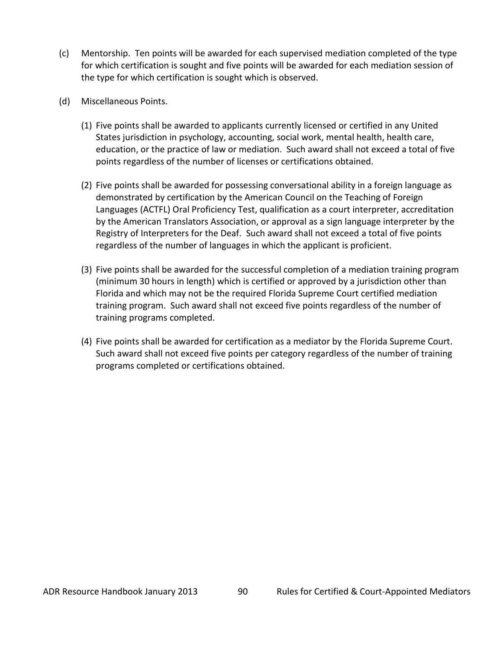- (c) Mentorship. Ten points will be awarded for each supervised mediation completed of the type for which certification is sought and five points will be awarded for each mediation session of the type for which certification is sought which is observed.
- (d) Miscellaneous Points.
	- (1) Five points shall be awarded to applicants currently licensed or certified in any United States jurisdiction in psychology, accounting, social work, mental health, health care, education, or the practice of law or mediation. Such award shall not exceed a total of five points regardless of the number of licenses or certifications obtained.
	- (2) Five points shall be awarded for possessing conversational ability in a foreign language as demonstrated by certification by the American Council on the Teaching of Foreign Languages (ACTFL) Oral Proficiency Test, qualification as a court interpreter, accreditation by the American Translators Association, or approval as a sign language interpreter by the Registry of Interpreters for the Deaf. Such award shall not exceed a total of five points regardless of the number of languages in which the applicant is proficient.
	- (3) Five points shall be awarded for the successful completion of a mediation training program (minimum 30 hours in length) which is certified or approved by a jurisdiction other than Florida and which may not be the required Florida Supreme Court certified mediation training program. Such award shall not exceed five points regardless of the number of training programs completed.
	- (4) Five points shall be awarded for certification as a mediator by the Florida Supreme Court. Such award shall not exceed five points per category regardless of the number of training programs completed or certifications obtained.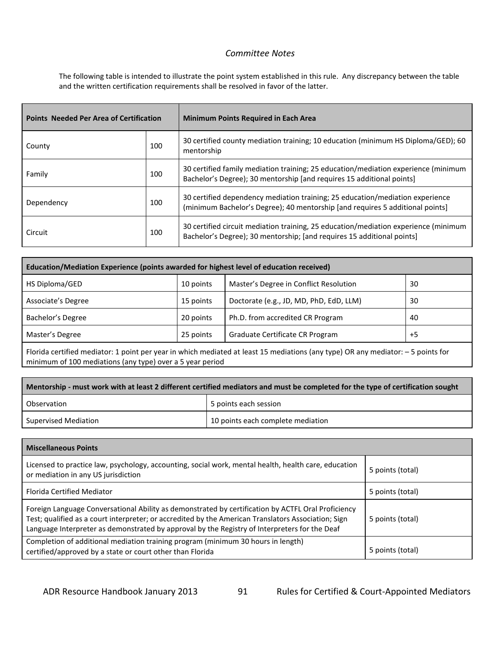The following table is intended to illustrate the point system established in this rule. Any discrepancy between the table and the written certification requirements shall be resolved in favor of the latter.

| <b>Points Needed Per Area of Certification</b> |     | <b>Minimum Points Required in Each Area</b>                                                                                                                    |  |
|------------------------------------------------|-----|----------------------------------------------------------------------------------------------------------------------------------------------------------------|--|
| County                                         | 100 | 30 certified county mediation training; 10 education (minimum HS Diploma/GED); 60<br>mentorship                                                                |  |
| Family                                         | 100 | 30 certified family mediation training; 25 education/mediation experience (minimum<br>Bachelor's Degree); 30 mentorship [and requires 15 additional points]    |  |
| Dependency                                     | 100 | 30 certified dependency mediation training; 25 education/mediation experience<br>(minimum Bachelor's Degree); 40 mentorship [and requires 5 additional points] |  |
| Circuit                                        | 100 | 30 certified circuit mediation training, 25 education/mediation experience (minimum<br>Bachelor's Degree); 30 mentorship; [and requires 15 additional points]  |  |

| Education/Mediation Experience (points awarded for highest level of education received)                                                   |           |                                         |    |  |
|-------------------------------------------------------------------------------------------------------------------------------------------|-----------|-----------------------------------------|----|--|
| HS Diploma/GED                                                                                                                            | 10 points | Master's Degree in Conflict Resolution  | 30 |  |
| Associate's Degree                                                                                                                        | 15 points | Doctorate (e.g., JD, MD, PhD, EdD, LLM) | 30 |  |
| Bachelor's Degree                                                                                                                         | 20 points | Ph.D. from accredited CR Program        | 40 |  |
| Master's Degree                                                                                                                           | 25 points | Graduate Certificate CR Program         | +5 |  |
| Flashed acutified seediction 4 section secures in which seedicted at least 4F seedictions (assumed). OD conversational section of section |           |                                         |    |  |

Florida certified mediator: 1 point per year in which mediated at least 15 mediations (any type) OR any mediator: – 5 points for minimum of 100 mediations (any type) over a 5 year period

| Mentorship - must work with at least 2 different certified mediators and must be completed for the type of certification sought |                                   |  |  |
|---------------------------------------------------------------------------------------------------------------------------------|-----------------------------------|--|--|
| Observation                                                                                                                     | 5 points each session             |  |  |
| Supervised Mediation                                                                                                            | 10 points each complete mediation |  |  |

| <b>Miscellaneous Points</b>                                                                                                                                                                                                                                                                                |                  |
|------------------------------------------------------------------------------------------------------------------------------------------------------------------------------------------------------------------------------------------------------------------------------------------------------------|------------------|
| Licensed to practice law, psychology, accounting, social work, mental health, health care, education<br>or mediation in any US jurisdiction                                                                                                                                                                | 5 points (total) |
| <b>Florida Certified Mediator</b>                                                                                                                                                                                                                                                                          | 5 points (total) |
| Foreign Language Conversational Ability as demonstrated by certification by ACTFL Oral Proficiency<br>Test; qualified as a court interpreter; or accredited by the American Translators Association; Sign<br>Language Interpreter as demonstrated by approval by the Registry of Interpreters for the Deaf | 5 points (total) |
| Completion of additional mediation training program (minimum 30 hours in length)<br>certified/approved by a state or court other than Florida                                                                                                                                                              | 5 points (total) |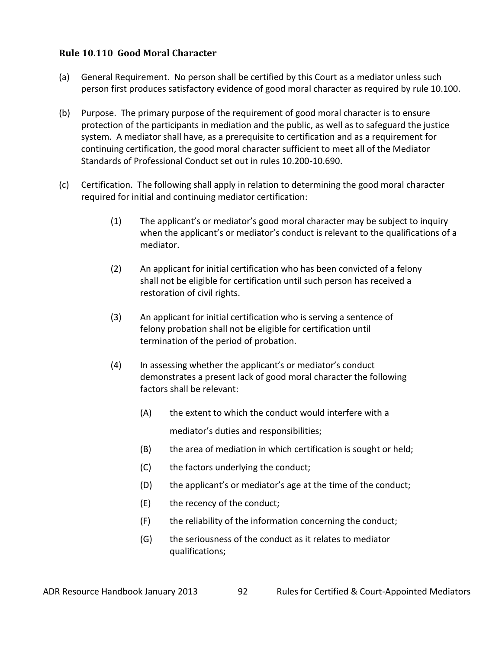#### <span id="page-6-0"></span>**Rule 10.110 Good Moral Character**

- (a) General Requirement. No person shall be certified by this Court as a mediator unless such person first produces satisfactory evidence of good moral character as required by rule 10.100.
- (b) Purpose. The primary purpose of the requirement of good moral character is to ensure protection of the participants in mediation and the public, as well as to safeguard the justice system. A mediator shall have, as a prerequisite to certification and as a requirement for continuing certification, the good moral character sufficient to meet all of the Mediator Standards of Professional Conduct set out in rules 10.200-10.690.
- (c) Certification. The following shall apply in relation to determining the good moral character required for initial and continuing mediator certification:
	- (1) The applicant's or mediator's good moral character may be subject to inquiry when the applicant's or mediator's conduct is relevant to the qualifications of a mediator.
	- (2) An applicant for initial certification who has been convicted of a felony shall not be eligible for certification until such person has received a restoration of civil rights.
	- (3) An applicant for initial certification who is serving a sentence of felony probation shall not be eligible for certification until termination of the period of probation.
	- (4) In assessing whether the applicant's or mediator's conduct demonstrates a present lack of good moral character the following factors shall be relevant:
		- (A) the extent to which the conduct would interfere with a mediator's duties and responsibilities;
		- (B) the area of mediation in which certification is sought or held;
		- (C) the factors underlying the conduct;
		- (D) the applicant's or mediator's age at the time of the conduct;
		- (E) the recency of the conduct;
		- (F) the reliability of the information concerning the conduct;
		- (G) the seriousness of the conduct as it relates to mediator qualifications;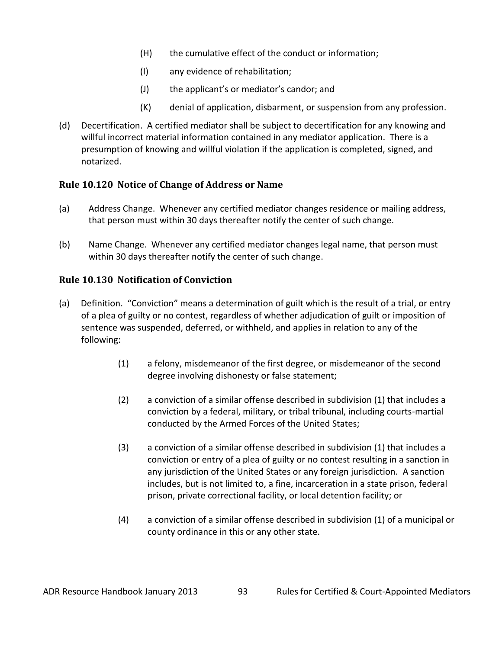- (H) the cumulative effect of the conduct or information;
- (I) any evidence of rehabilitation;
- (J) the applicant's or mediator's candor; and
- (K) denial of application, disbarment, or suspension from any profession.
- (d) Decertification. A certified mediator shall be subject to decertification for any knowing and willful incorrect material information contained in any mediator application. There is a presumption of knowing and willful violation if the application is completed, signed, and notarized.

## <span id="page-7-0"></span>**Rule 10.120 Notice of Change of Address or Name**

- (a) Address Change. Whenever any certified mediator changes residence or mailing address, that person must within 30 days thereafter notify the center of such change.
- (b) Name Change. Whenever any certified mediator changes legal name, that person must within 30 days thereafter notify the center of such change.

## <span id="page-7-1"></span>**Rule 10.130 Notification of Conviction**

- (a) Definition. "Conviction" means a determination of guilt which is the result of a trial, or entry of a plea of guilty or no contest, regardless of whether adjudication of guilt or imposition of sentence was suspended, deferred, or withheld, and applies in relation to any of the following:
	- (1) a felony, misdemeanor of the first degree, or misdemeanor of the second degree involving dishonesty or false statement;
	- (2) a conviction of a similar offense described in subdivision (1) that includes a conviction by a federal, military, or tribal tribunal, including courts-martial conducted by the Armed Forces of the United States;
	- (3) a conviction of a similar offense described in subdivision (1) that includes a conviction or entry of a plea of guilty or no contest resulting in a sanction in any jurisdiction of the United States or any foreign jurisdiction. A sanction includes, but is not limited to, a fine, incarceration in a state prison, federal prison, private correctional facility, or local detention facility; or
	- (4) a conviction of a similar offense described in subdivision (1) of a municipal or county ordinance in this or any other state.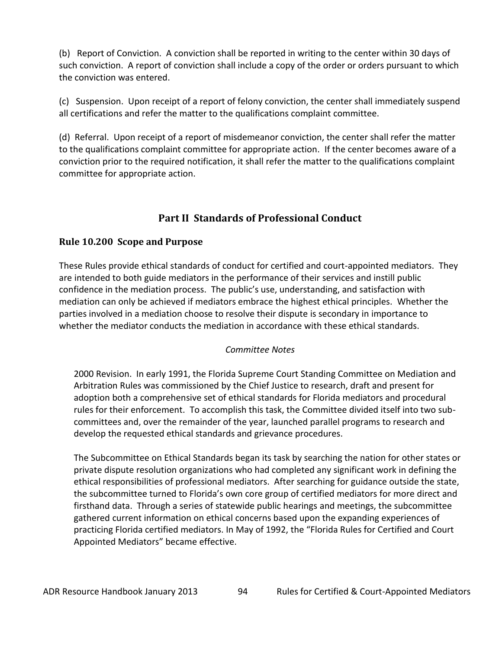(b) Report of Conviction. A conviction shall be reported in writing to the center within 30 days of such conviction. A report of conviction shall include a copy of the order or orders pursuant to which the conviction was entered.

(c) Suspension. Upon receipt of a report of felony conviction, the center shall immediately suspend all certifications and refer the matter to the qualifications complaint committee.

(d) Referral. Upon receipt of a report of misdemeanor conviction, the center shall refer the matter to the qualifications complaint committee for appropriate action. If the center becomes aware of a conviction prior to the required notification, it shall refer the matter to the qualifications complaint committee for appropriate action.

## **Part II Standards of Professional Conduct**

### <span id="page-8-1"></span><span id="page-8-0"></span>**Rule 10.200 Scope and Purpose**

These Rules provide ethical standards of conduct for certified and court-appointed mediators. They are intended to both guide mediators in the performance of their services and instill public confidence in the mediation process. The public's use, understanding, and satisfaction with mediation can only be achieved if mediators embrace the highest ethical principles. Whether the parties involved in a mediation choose to resolve their dispute is secondary in importance to whether the mediator conducts the mediation in accordance with these ethical standards.

### *Committee Notes*

<span id="page-8-2"></span>2000 Revision. In early 1991, the Florida Supreme Court Standing Committee on Mediation and Arbitration Rules was commissioned by the Chief Justice to research, draft and present for adoption both a comprehensive set of ethical standards for Florida mediators and procedural rules for their enforcement. To accomplish this task, the Committee divided itself into two subcommittees and, over the remainder of the year, launched parallel programs to research and develop the requested ethical standards and grievance procedures.

The Subcommittee on Ethical Standards began its task by searching the nation for other states or private dispute resolution organizations who had completed any significant work in defining the ethical responsibilities of professional mediators. After searching for guidance outside the state, the subcommittee turned to Florida's own core group of certified mediators for more direct and firsthand data. Through a series of statewide public hearings and meetings, the subcommittee gathered current information on ethical concerns based upon the expanding experiences of practicing Florida certified mediators. In May of 1992, the "Florida Rules for Certified and Court Appointed Mediators" became effective.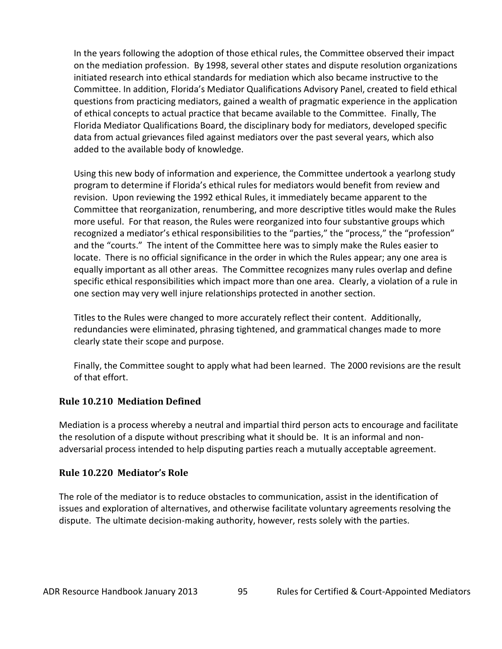In the years following the adoption of those ethical rules, the Committee observed their impact on the mediation profession. By 1998, several other states and dispute resolution organizations initiated research into ethical standards for mediation which also became instructive to the Committee. In addition, Florida's Mediator Qualifications Advisory Panel, created to field ethical questions from practicing mediators, gained a wealth of pragmatic experience in the application of ethical concepts to actual practice that became available to the Committee. Finally, The Florida Mediator Qualifications Board, the disciplinary body for mediators, developed specific data from actual grievances filed against mediators over the past several years, which also added to the available body of knowledge.

Using this new body of information and experience, the Committee undertook a yearlong study program to determine if Florida's ethical rules for mediators would benefit from review and revision. Upon reviewing the 1992 ethical Rules, it immediately became apparent to the Committee that reorganization, renumbering, and more descriptive titles would make the Rules more useful. For that reason, the Rules were reorganized into four substantive groups which recognized a mediator's ethical responsibilities to the "parties," the "process," the "profession" and the "courts." The intent of the Committee here was to simply make the Rules easier to locate. There is no official significance in the order in which the Rules appear; any one area is equally important as all other areas. The Committee recognizes many rules overlap and define specific ethical responsibilities which impact more than one area. Clearly, a violation of a rule in one section may very well injure relationships protected in another section.

Titles to the Rules were changed to more accurately reflect their content. Additionally, redundancies were eliminated, phrasing tightened, and grammatical changes made to more clearly state their scope and purpose.

Finally, the Committee sought to apply what had been learned. The 2000 revisions are the result of that effort.

### <span id="page-9-0"></span>**Rule 10.210 Mediation Defined**

Mediation is a process whereby a neutral and impartial third person acts to encourage and facilitate the resolution of a dispute without prescribing what it should be. It is an informal and nonadversarial process intended to help disputing parties reach a mutually acceptable agreement.

### <span id="page-9-1"></span>**Rule 10.220 Mediator's Role**

The role of the mediator is to reduce obstacles to communication, assist in the identification of issues and exploration of alternatives, and otherwise facilitate voluntary agreements resolving the dispute. The ultimate decision-making authority, however, rests solely with the parties.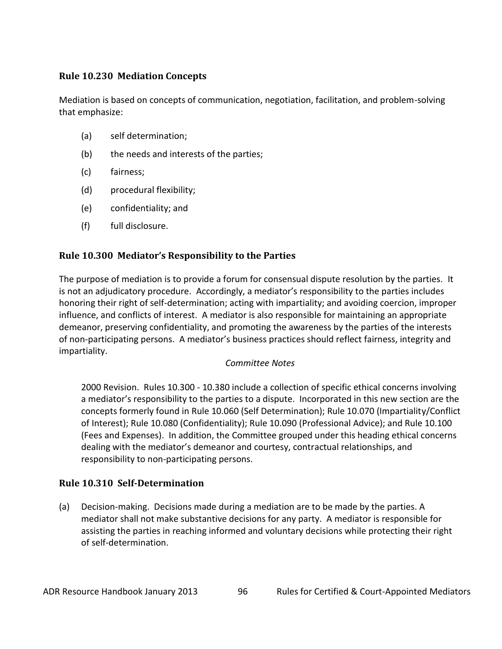### <span id="page-10-0"></span>**Rule 10.230 Mediation Concepts**

Mediation is based on concepts of communication, negotiation, facilitation, and problem-solving that emphasize:

- (a) self determination;
- (b) the needs and interests of the parties;
- (c) fairness;
- (d) procedural flexibility;
- (e) confidentiality; and
- (f) full disclosure.

## <span id="page-10-1"></span>**Rule 10.300 Mediator's Responsibility to the Parties**

The purpose of mediation is to provide a forum for consensual dispute resolution by the parties. It is not an adjudicatory procedure. Accordingly, a mediator's responsibility to the parties includes honoring their right of self-determination; acting with impartiality; and avoiding coercion, improper influence, and conflicts of interest. A mediator is also responsible for maintaining an appropriate demeanor, preserving confidentiality, and promoting the awareness by the parties of the interests of non-participating persons. A mediator's business practices should reflect fairness, integrity and impartiality.

### *Committee Notes*

<span id="page-10-2"></span>2000 Revision. Rules 10.300 - 10.380 include a collection of specific ethical concerns involving a mediator's responsibility to the parties to a dispute. Incorporated in this new section are the concepts formerly found in Rule 10.060 (Self Determination); Rule 10.070 (Impartiality/Conflict of Interest); Rule 10.080 (Confidentiality); Rule 10.090 (Professional Advice); and Rule 10.100 (Fees and Expenses). In addition, the Committee grouped under this heading ethical concerns dealing with the mediator's demeanor and courtesy, contractual relationships, and responsibility to non-participating persons.

### <span id="page-10-3"></span>**Rule 10.310 Self-Determination**

(a) Decision-making. Decisions made during a mediation are to be made by the parties. A mediator shall not make substantive decisions for any party. A mediator is responsible for assisting the parties in reaching informed and voluntary decisions while protecting their right of self-determination.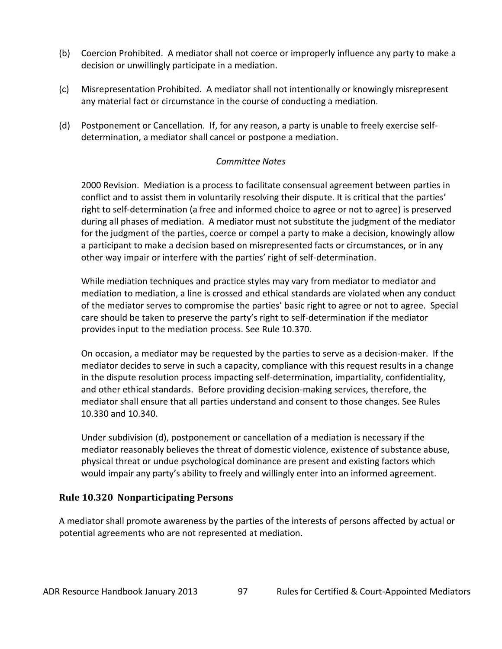- (b) Coercion Prohibited. A mediator shall not coerce or improperly influence any party to make a decision or unwillingly participate in a mediation.
- (c) Misrepresentation Prohibited. A mediator shall not intentionally or knowingly misrepresent any material fact or circumstance in the course of conducting a mediation.
- (d) Postponement or Cancellation. If, for any reason, a party is unable to freely exercise selfdetermination, a mediator shall cancel or postpone a mediation.

<span id="page-11-0"></span>2000 Revision. Mediation is a process to facilitate consensual agreement between parties in conflict and to assist them in voluntarily resolving their dispute. It is critical that the parties' right to self-determination (a free and informed choice to agree or not to agree) is preserved during all phases of mediation. A mediator must not substitute the judgment of the mediator for the judgment of the parties, coerce or compel a party to make a decision, knowingly allow a participant to make a decision based on misrepresented facts or circumstances, or in any other way impair or interfere with the parties' right of self-determination.

While mediation techniques and practice styles may vary from mediator to mediator and mediation to mediation, a line is crossed and ethical standards are violated when any conduct of the mediator serves to compromise the parties' basic right to agree or not to agree. Special care should be taken to preserve the party's right to self-determination if the mediator provides input to the mediation process. See Rule 10.370.

On occasion, a mediator may be requested by the parties to serve as a decision-maker. If the mediator decides to serve in such a capacity, compliance with this request results in a change in the dispute resolution process impacting self-determination, impartiality, confidentiality, and other ethical standards. Before providing decision-making services, therefore, the mediator shall ensure that all parties understand and consent to those changes. See Rules 10.330 and 10.340.

Under subdivision (d), postponement or cancellation of a mediation is necessary if the mediator reasonably believes the threat of domestic violence, existence of substance abuse, physical threat or undue psychological dominance are present and existing factors which would impair any party's ability to freely and willingly enter into an informed agreement.

### <span id="page-11-1"></span>**Rule 10.320 Nonparticipating Persons**

A mediator shall promote awareness by the parties of the interests of persons affected by actual or potential agreements who are not represented at mediation.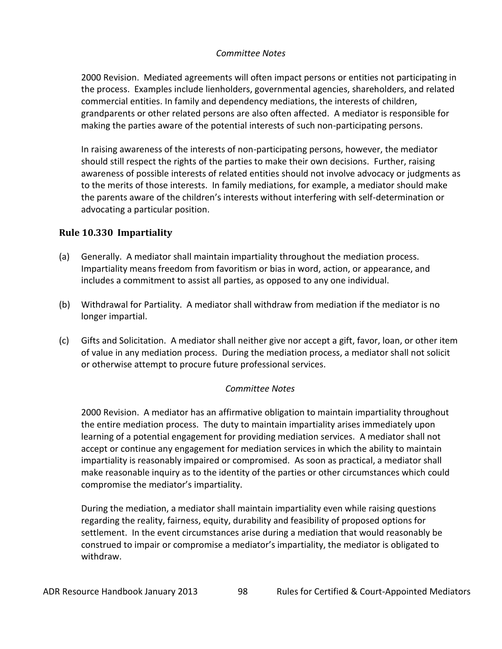<span id="page-12-0"></span>2000 Revision. Mediated agreements will often impact persons or entities not participating in the process. Examples include lienholders, governmental agencies, shareholders, and related commercial entities. In family and dependency mediations, the interests of children, grandparents or other related persons are also often affected. A mediator is responsible for making the parties aware of the potential interests of such non-participating persons.

In raising awareness of the interests of non-participating persons, however, the mediator should still respect the rights of the parties to make their own decisions. Further, raising awareness of possible interests of related entities should not involve advocacy or judgments as to the merits of those interests. In family mediations, for example, a mediator should make the parents aware of the children's interests without interfering with self-determination or advocating a particular position.

### <span id="page-12-1"></span>**Rule 10.330 Impartiality**

- (a) Generally. A mediator shall maintain impartiality throughout the mediation process. Impartiality means freedom from favoritism or bias in word, action, or appearance, and includes a commitment to assist all parties, as opposed to any one individual.
- (b) Withdrawal for Partiality. A mediator shall withdraw from mediation if the mediator is no longer impartial.
- (c) Gifts and Solicitation. A mediator shall neither give nor accept a gift, favor, loan, or other item of value in any mediation process. During the mediation process, a mediator shall not solicit or otherwise attempt to procure future professional services.

### *Committee Notes*

2000 Revision. A mediator has an affirmative obligation to maintain impartiality throughout the entire mediation process. The duty to maintain impartiality arises immediately upon learning of a potential engagement for providing mediation services. A mediator shall not accept or continue any engagement for mediation services in which the ability to maintain impartiality is reasonably impaired or compromised. As soon as practical, a mediator shall make reasonable inquiry as to the identity of the parties or other circumstances which could compromise the mediator's impartiality.

During the mediation, a mediator shall maintain impartiality even while raising questions regarding the reality, fairness, equity, durability and feasibility of proposed options for settlement. In the event circumstances arise during a mediation that would reasonably be construed to impair or compromise a mediator's impartiality, the mediator is obligated to withdraw.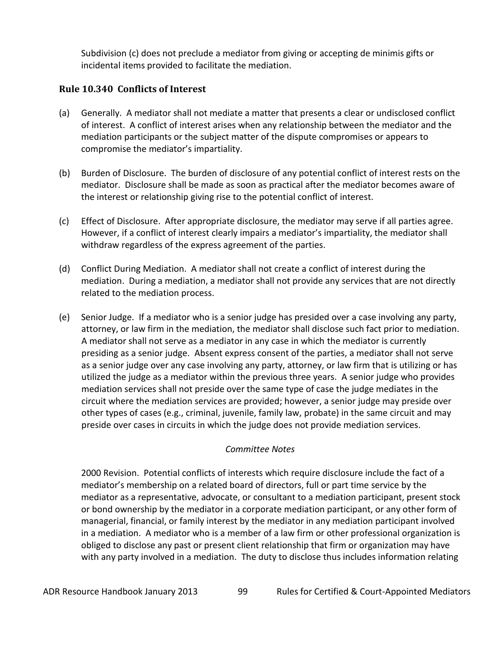Subdivision (c) does not preclude a mediator from giving or accepting de minimis gifts or incidental items provided to facilitate the mediation.

## <span id="page-13-0"></span>**Rule 10.340 Conflicts of Interest**

- (a) Generally. A mediator shall not mediate a matter that presents a clear or undisclosed conflict of interest. A conflict of interest arises when any relationship between the mediator and the mediation participants or the subject matter of the dispute compromises or appears to compromise the mediator's impartiality.
- (b) Burden of Disclosure. The burden of disclosure of any potential conflict of interest rests on the mediator. Disclosure shall be made as soon as practical after the mediator becomes aware of the interest or relationship giving rise to the potential conflict of interest.
- (c) Effect of Disclosure. After appropriate disclosure, the mediator may serve if all parties agree. However, if a conflict of interest clearly impairs a mediator's impartiality, the mediator shall withdraw regardless of the express agreement of the parties.
- (d) Conflict During Mediation. A mediator shall not create a conflict of interest during the mediation. During a mediation, a mediator shall not provide any services that are not directly related to the mediation process.
- (e) Senior Judge. If a mediator who is a senior judge has presided over a case involving any party, attorney, or law firm in the mediation, the mediator shall disclose such fact prior to mediation. A mediator shall not serve as a mediator in any case in which the mediator is currently presiding as a senior judge. Absent express consent of the parties, a mediator shall not serve as a senior judge over any case involving any party, attorney, or law firm that is utilizing or has utilized the judge as a mediator within the previous three years. A senior judge who provides mediation services shall not preside over the same type of case the judge mediates in the circuit where the mediation services are provided; however, a senior judge may preside over other types of cases (e.g., criminal, juvenile, family law, probate) in the same circuit and may preside over cases in circuits in which the judge does not provide mediation services.

### *Committee Notes*

<span id="page-13-1"></span>2000 Revision. Potential conflicts of interests which require disclosure include the fact of a mediator's membership on a related board of directors, full or part time service by the mediator as a representative, advocate, or consultant to a mediation participant, present stock or bond ownership by the mediator in a corporate mediation participant, or any other form of managerial, financial, or family interest by the mediator in any mediation participant involved in a mediation. A mediator who is a member of a law firm or other professional organization is obliged to disclose any past or present client relationship that firm or organization may have with any party involved in a mediation. The duty to disclose thus includes information relating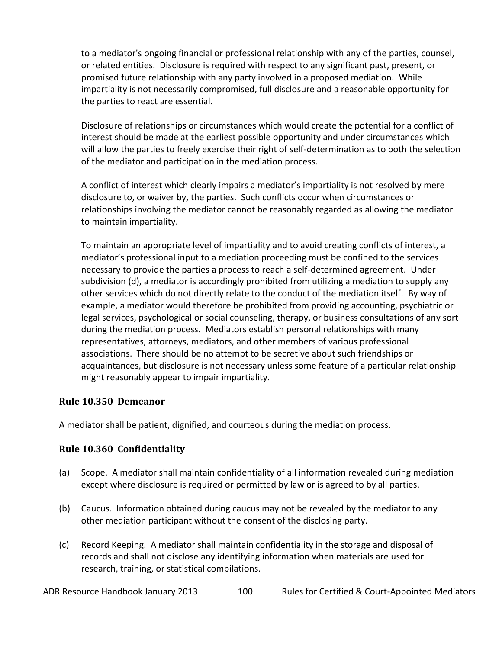to a mediator's ongoing financial or professional relationship with any of the parties, counsel, or related entities. Disclosure is required with respect to any significant past, present, or promised future relationship with any party involved in a proposed mediation. While impartiality is not necessarily compromised, full disclosure and a reasonable opportunity for the parties to react are essential.

Disclosure of relationships or circumstances which would create the potential for a conflict of interest should be made at the earliest possible opportunity and under circumstances which will allow the parties to freely exercise their right of self-determination as to both the selection of the mediator and participation in the mediation process.

A conflict of interest which clearly impairs a mediator's impartiality is not resolved by mere disclosure to, or waiver by, the parties. Such conflicts occur when circumstances or relationships involving the mediator cannot be reasonably regarded as allowing the mediator to maintain impartiality.

To maintain an appropriate level of impartiality and to avoid creating conflicts of interest, a mediator's professional input to a mediation proceeding must be confined to the services necessary to provide the parties a process to reach a self-determined agreement. Under subdivision (d), a mediator is accordingly prohibited from utilizing a mediation to supply any other services which do not directly relate to the conduct of the mediation itself. By way of example, a mediator would therefore be prohibited from providing accounting, psychiatric or legal services, psychological or social counseling, therapy, or business consultations of any sort during the mediation process. Mediators establish personal relationships with many representatives, attorneys, mediators, and other members of various professional associations. There should be no attempt to be secretive about such friendships or acquaintances, but disclosure is not necessary unless some feature of a particular relationship might reasonably appear to impair impartiality.

### <span id="page-14-0"></span>**Rule 10.350 Demeanor**

A mediator shall be patient, dignified, and courteous during the mediation process.

### <span id="page-14-1"></span>**Rule 10.360 Confidentiality**

- (a) Scope. A mediator shall maintain confidentiality of all information revealed during mediation except where disclosure is required or permitted by law or is agreed to by all parties.
- (b) Caucus. Information obtained during caucus may not be revealed by the mediator to any other mediation participant without the consent of the disclosing party.
- (c) Record Keeping. A mediator shall maintain confidentiality in the storage and disposal of records and shall not disclose any identifying information when materials are used for research, training, or statistical compilations.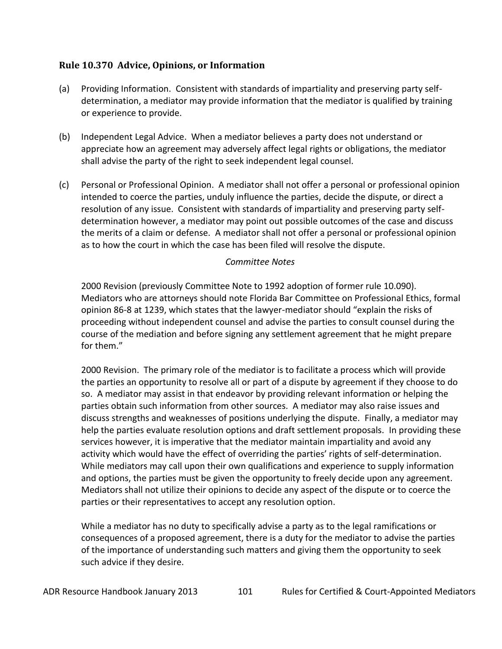## <span id="page-15-0"></span>**Rule 10.370 Advice, Opinions, or Information**

- (a) Providing Information. Consistent with standards of impartiality and preserving party selfdetermination, a mediator may provide information that the mediator is qualified by training or experience to provide.
- (b) Independent Legal Advice. When a mediator believes a party does not understand or appreciate how an agreement may adversely affect legal rights or obligations, the mediator shall advise the party of the right to seek independent legal counsel.
- (c) Personal or Professional Opinion. A mediator shall not offer a personal or professional opinion intended to coerce the parties, unduly influence the parties, decide the dispute, or direct a resolution of any issue. Consistent with standards of impartiality and preserving party selfdetermination however, a mediator may point out possible outcomes of the case and discuss the merits of a claim or defense. A mediator shall not offer a personal or professional opinion as to how the court in which the case has been filed will resolve the dispute.

### *Committee Notes*

2000 Revision (previously Committee Note to 1992 adoption of former rule 10.090). Mediators who are attorneys should note Florida Bar Committee on Professional Ethics, formal opinion 86-8 at 1239, which states that the lawyer-mediator should "explain the risks of proceeding without independent counsel and advise the parties to consult counsel during the course of the mediation and before signing any settlement agreement that he might prepare for them."

2000 Revision. The primary role of the mediator is to facilitate a process which will provide the parties an opportunity to resolve all or part of a dispute by agreement if they choose to do so. A mediator may assist in that endeavor by providing relevant information or helping the parties obtain such information from other sources. A mediator may also raise issues and discuss strengths and weaknesses of positions underlying the dispute. Finally, a mediator may help the parties evaluate resolution options and draft settlement proposals. In providing these services however, it is imperative that the mediator maintain impartiality and avoid any activity which would have the effect of overriding the parties' rights of self-determination. While mediators may call upon their own qualifications and experience to supply information and options, the parties must be given the opportunity to freely decide upon any agreement. Mediators shall not utilize their opinions to decide any aspect of the dispute or to coerce the parties or their representatives to accept any resolution option.

While a mediator has no duty to specifically advise a party as to the legal ramifications or consequences of a proposed agreement, there is a duty for the mediator to advise the parties of the importance of understanding such matters and giving them the opportunity to seek such advice if they desire.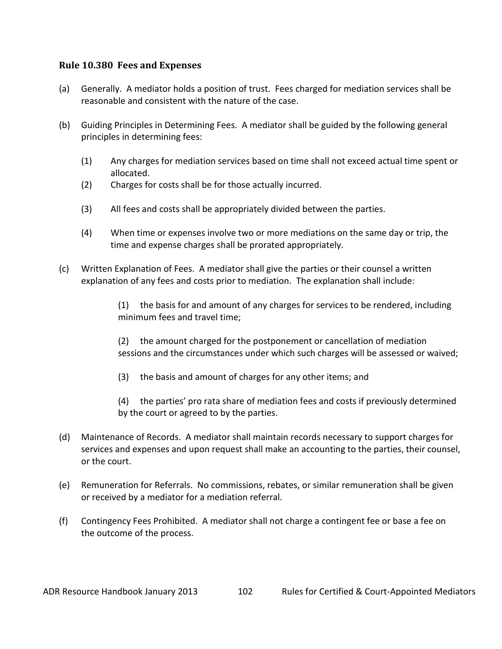#### <span id="page-16-0"></span>**Rule 10.380 Fees and Expenses**

- (a) Generally. A mediator holds a position of trust. Fees charged for mediation services shall be reasonable and consistent with the nature of the case.
- (b) Guiding Principles in Determining Fees. A mediator shall be guided by the following general principles in determining fees:
	- (1) Any charges for mediation services based on time shall not exceed actual time spent or allocated.
	- (2) Charges for costs shall be for those actually incurred.
	- (3) All fees and costs shall be appropriately divided between the parties.
	- (4) When time or expenses involve two or more mediations on the same day or trip, the time and expense charges shall be prorated appropriately.
- (c) Written Explanation of Fees. A mediator shall give the parties or their counsel a written explanation of any fees and costs prior to mediation. The explanation shall include:

(1) the basis for and amount of any charges for services to be rendered, including minimum fees and travel time;

(2) the amount charged for the postponement or cancellation of mediation sessions and the circumstances under which such charges will be assessed or waived;

(3) the basis and amount of charges for any other items; and

(4) the parties' pro rata share of mediation fees and costs if previously determined by the court or agreed to by the parties.

- (d) Maintenance of Records. A mediator shall maintain records necessary to support charges for services and expenses and upon request shall make an accounting to the parties, their counsel, or the court.
- (e) Remuneration for Referrals. No commissions, rebates, or similar remuneration shall be given or received by a mediator for a mediation referral.
- (f) Contingency Fees Prohibited. A mediator shall not charge a contingent fee or base a fee on the outcome of the process.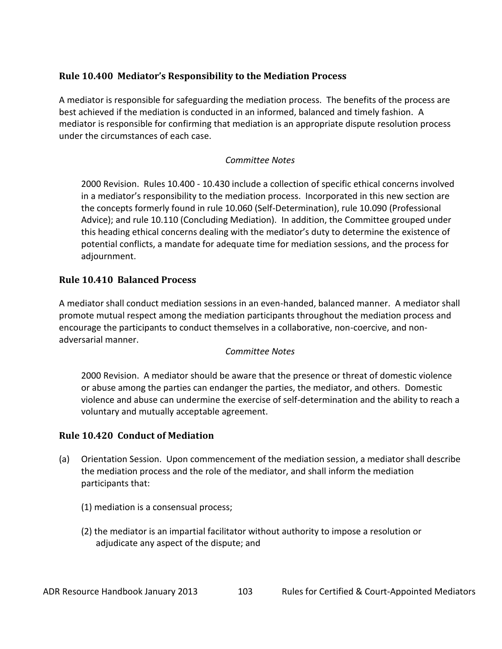## <span id="page-17-0"></span>**Rule 10.400 Mediator's Responsibility to the Mediation Process**

A mediator is responsible for safeguarding the mediation process. The benefits of the process are best achieved if the mediation is conducted in an informed, balanced and timely fashion. A mediator is responsible for confirming that mediation is an appropriate dispute resolution process under the circumstances of each case.

#### *Committee Notes*

<span id="page-17-1"></span>2000 Revision. Rules 10.400 - 10.430 include a collection of specific ethical concerns involved in a mediator's responsibility to the mediation process. Incorporated in this new section are the concepts formerly found in rule 10.060 (Self-Determination), rule 10.090 (Professional Advice); and rule 10.110 (Concluding Mediation). In addition, the Committee grouped under this heading ethical concerns dealing with the mediator's duty to determine the existence of potential conflicts, a mandate for adequate time for mediation sessions, and the process for adjournment.

### <span id="page-17-2"></span>**Rule 10.410 Balanced Process**

A mediator shall conduct mediation sessions in an even-handed, balanced manner. A mediator shall promote mutual respect among the mediation participants throughout the mediation process and encourage the participants to conduct themselves in a collaborative, non-coercive, and nonadversarial manner.

#### *Committee Notes*

<span id="page-17-3"></span>2000 Revision. A mediator should be aware that the presence or threat of domestic violence or abuse among the parties can endanger the parties, the mediator, and others. Domestic violence and abuse can undermine the exercise of self-determination and the ability to reach a voluntary and mutually acceptable agreement.

### <span id="page-17-4"></span>**Rule 10.420 Conduct of Mediation**

- (a) Orientation Session. Upon commencement of the mediation session, a mediator shall describe the mediation process and the role of the mediator, and shall inform the mediation participants that:
	- (1) mediation is a consensual process;
	- (2) the mediator is an impartial facilitator without authority to impose a resolution or adjudicate any aspect of the dispute; and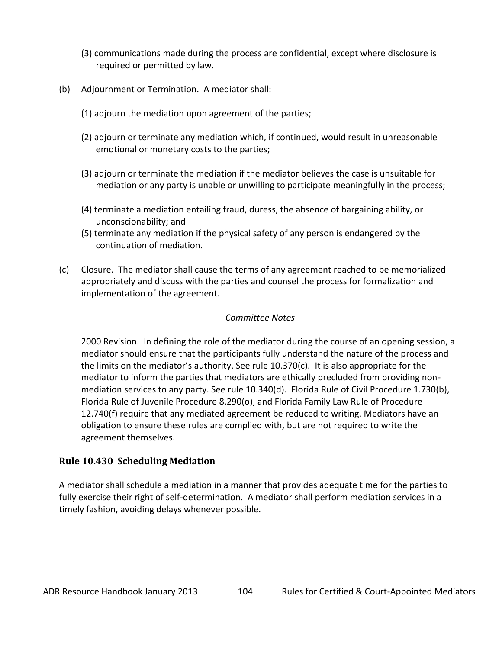- (3) communications made during the process are confidential, except where disclosure is required or permitted by law.
- (b) Adjournment or Termination. A mediator shall:
	- (1) adjourn the mediation upon agreement of the parties;
	- (2) adjourn or terminate any mediation which, if continued, would result in unreasonable emotional or monetary costs to the parties;
	- (3) adjourn or terminate the mediation if the mediator believes the case is unsuitable for mediation or any party is unable or unwilling to participate meaningfully in the process;
	- (4) terminate a mediation entailing fraud, duress, the absence of bargaining ability, or unconscionability; and
	- (5) terminate any mediation if the physical safety of any person is endangered by the continuation of mediation.
- (c) Closure. The mediator shall cause the terms of any agreement reached to be memorialized appropriately and discuss with the parties and counsel the process for formalization and implementation of the agreement.

<span id="page-18-0"></span>2000 Revision. In defining the role of the mediator during the course of an opening session, a mediator should ensure that the participants fully understand the nature of the process and the limits on the mediator's authority. See rule 10.370(c). It is also appropriate for the mediator to inform the parties that mediators are ethically precluded from providing nonmediation services to any party. See rule 10.340(d). Florida Rule of Civil Procedure 1.730(b), Florida Rule of Juvenile Procedure 8.290(o), and Florida Family Law Rule of Procedure 12.740(f) require that any mediated agreement be reduced to writing. Mediators have an obligation to ensure these rules are complied with, but are not required to write the agreement themselves.

#### <span id="page-18-1"></span>**Rule 10.430 Scheduling Mediation**

A mediator shall schedule a mediation in a manner that provides adequate time for the parties to fully exercise their right of self-determination. A mediator shall perform mediation services in a timely fashion, avoiding delays whenever possible.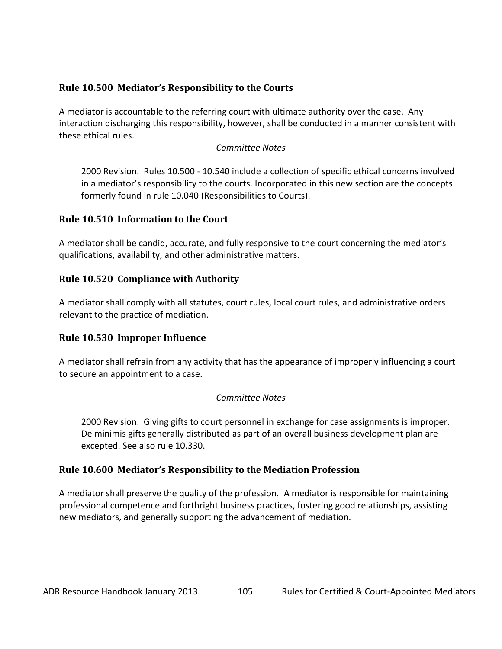## <span id="page-19-0"></span>**Rule 10.500 Mediator's Responsibility to the Courts**

A mediator is accountable to the referring court with ultimate authority over the case. Any interaction discharging this responsibility, however, shall be conducted in a manner consistent with these ethical rules.

#### <span id="page-19-1"></span>*Committee Notes*

2000 Revision. Rules 10.500 - 10.540 include a collection of specific ethical concerns involved in a mediator's responsibility to the courts. Incorporated in this new section are the concepts formerly found in rule 10.040 (Responsibilities to Courts).

### <span id="page-19-2"></span>**Rule 10.510 Information to the Court**

A mediator shall be candid, accurate, and fully responsive to the court concerning the mediator's qualifications, availability, and other administrative matters.

### <span id="page-19-3"></span>**Rule 10.520 Compliance with Authority**

A mediator shall comply with all statutes, court rules, local court rules, and administrative orders relevant to the practice of mediation.

### <span id="page-19-4"></span>**Rule 10.530 Improper Influence**

A mediator shall refrain from any activity that has the appearance of improperly influencing a court to secure an appointment to a case.

#### <span id="page-19-5"></span>*Committee Notes*

2000 Revision. Giving gifts to court personnel in exchange for case assignments is improper. De minimis gifts generally distributed as part of an overall business development plan are excepted. See also rule 10.330.

#### <span id="page-19-6"></span>**Rule 10.600 Mediator's Responsibility to the Mediation Profession**

A mediator shall preserve the quality of the profession. A mediator is responsible for maintaining professional competence and forthright business practices, fostering good relationships, assisting new mediators, and generally supporting the advancement of mediation.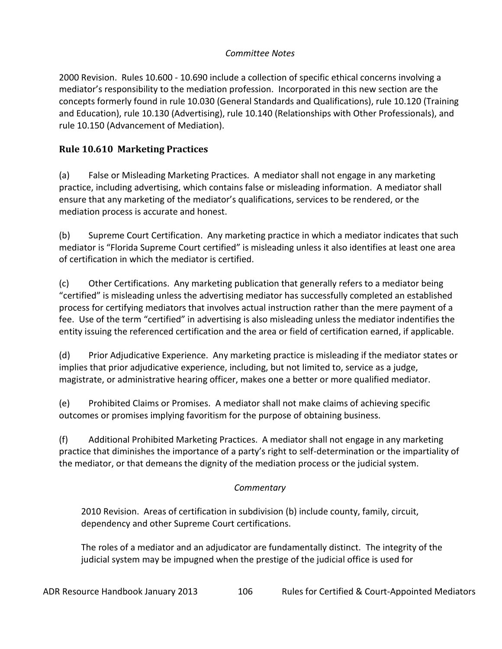2000 Revision. Rules 10.600 - 10.690 include a collection of specific ethical concerns involving a mediator's responsibility to the mediation profession. Incorporated in this new section are the concepts formerly found in rule 10.030 (General Standards and Qualifications), rule 10.120 (Training and Education), rule 10.130 (Advertising), rule 10.140 (Relationships with Other Professionals), and rule 10.150 (Advancement of Mediation).

## <span id="page-20-0"></span>**Rule 10.610 Marketing Practices**

(a) False or Misleading Marketing Practices. A mediator shall not engage in any marketing practice, including advertising, which contains false or misleading information. A mediator shall ensure that any marketing of the mediator's qualifications, services to be rendered, or the mediation process is accurate and honest.

(b) Supreme Court Certification. Any marketing practice in which a mediator indicates that such mediator is "Florida Supreme Court certified" is misleading unless it also identifies at least one area of certification in which the mediator is certified.

(c) Other Certifications. Any marketing publication that generally refers to a mediator being "certified" is misleading unless the advertising mediator has successfully completed an established process for certifying mediators that involves actual instruction rather than the mere payment of a fee. Use of the term "certified" in advertising is also misleading unless the mediator indentifies the entity issuing the referenced certification and the area or field of certification earned, if applicable.

(d) Prior Adjudicative Experience. Any marketing practice is misleading if the mediator states or implies that prior adjudicative experience, including, but not limited to, service as a judge, magistrate, or administrative hearing officer, makes one a better or more qualified mediator.

(e) Prohibited Claims or Promises. A mediator shall not make claims of achieving specific outcomes or promises implying favoritism for the purpose of obtaining business.

(f) Additional Prohibited Marketing Practices. A mediator shall not engage in any marketing practice that diminishes the importance of a party's right to self-determination or the impartiality of the mediator, or that demeans the dignity of the mediation process or the judicial system.

### *Commentary*

2010 Revision. Areas of certification in subdivision (b) include county, family, circuit, dependency and other Supreme Court certifications.

The roles of a mediator and an adjudicator are fundamentally distinct. The integrity of the judicial system may be impugned when the prestige of the judicial office is used for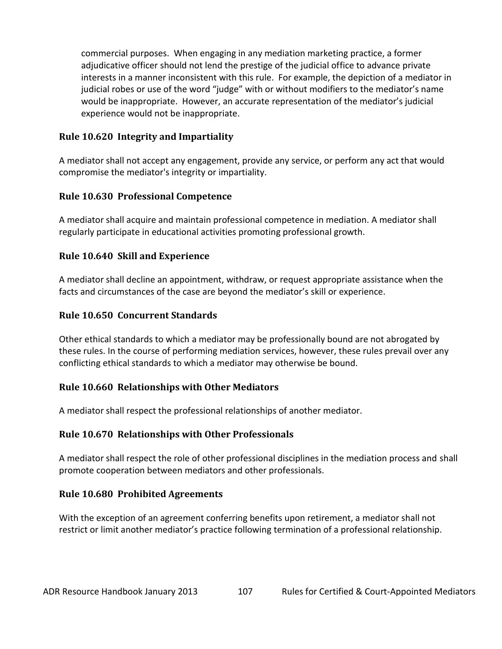commercial purposes. When engaging in any mediation marketing practice, a former adjudicative officer should not lend the prestige of the judicial office to advance private interests in a manner inconsistent with this rule. For example, the depiction of a mediator in judicial robes or use of the word "judge" with or without modifiers to the mediator's name would be inappropriate. However, an accurate representation of the mediator's judicial experience would not be inappropriate.

## <span id="page-21-0"></span>**Rule 10.620 Integrity and Impartiality**

A mediator shall not accept any engagement, provide any service, or perform any act that would compromise the mediator's integrity or impartiality.

## <span id="page-21-1"></span>**Rule 10.630 Professional Competence**

A mediator shall acquire and maintain professional competence in mediation. A mediator shall regularly participate in educational activities promoting professional growth.

## <span id="page-21-2"></span>**Rule 10.640 Skill and Experience**

A mediator shall decline an appointment, withdraw, or request appropriate assistance when the facts and circumstances of the case are beyond the mediator's skill or experience.

## <span id="page-21-3"></span>**Rule 10.650 Concurrent Standards**

Other ethical standards to which a mediator may be professionally bound are not abrogated by these rules. In the course of performing mediation services, however, these rules prevail over any conflicting ethical standards to which a mediator may otherwise be bound.

### <span id="page-21-4"></span>**Rule 10.660 Relationships with Other Mediators**

A mediator shall respect the professional relationships of another mediator.

### <span id="page-21-5"></span>**Rule 10.670 Relationships with Other Professionals**

A mediator shall respect the role of other professional disciplines in the mediation process and shall promote cooperation between mediators and other professionals.

### <span id="page-21-6"></span>**Rule 10.680 Prohibited Agreements**

With the exception of an agreement conferring benefits upon retirement, a mediator shall not restrict or limit another mediator's practice following termination of a professional relationship.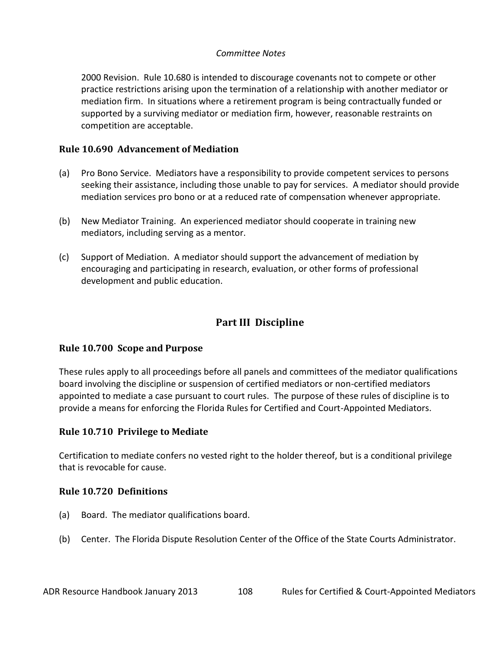<span id="page-22-0"></span>2000 Revision. Rule 10.680 is intended to discourage covenants not to compete or other practice restrictions arising upon the termination of a relationship with another mediator or mediation firm. In situations where a retirement program is being contractually funded or supported by a surviving mediator or mediation firm, however, reasonable restraints on competition are acceptable.

## <span id="page-22-1"></span>**Rule 10.690 Advancement of Mediation**

- (a) Pro Bono Service. Mediators have a responsibility to provide competent services to persons seeking their assistance, including those unable to pay for services. A mediator should provide mediation services pro bono or at a reduced rate of compensation whenever appropriate.
- (b) New Mediator Training. An experienced mediator should cooperate in training new mediators, including serving as a mentor.
- (c) Support of Mediation. A mediator should support the advancement of mediation by encouraging and participating in research, evaluation, or other forms of professional development and public education.

## **Part III Discipline**

### <span id="page-22-3"></span><span id="page-22-2"></span>**Rule 10.700 Scope and Purpose**

These rules apply to all proceedings before all panels and committees of the mediator qualifications board involving the discipline or suspension of certified mediators or non-certified mediators appointed to mediate a case pursuant to court rules. The purpose of these rules of discipline is to provide a means for enforcing the Florida Rules for Certified and Court-Appointed Mediators.

### <span id="page-22-4"></span>**Rule 10.710 Privilege to Mediate**

Certification to mediate confers no vested right to the holder thereof, but is a conditional privilege that is revocable for cause.

### <span id="page-22-5"></span>**Rule 10.720 Definitions**

- (a) Board. The mediator qualifications board.
- (b) Center. The Florida Dispute Resolution Center of the Office of the State Courts Administrator.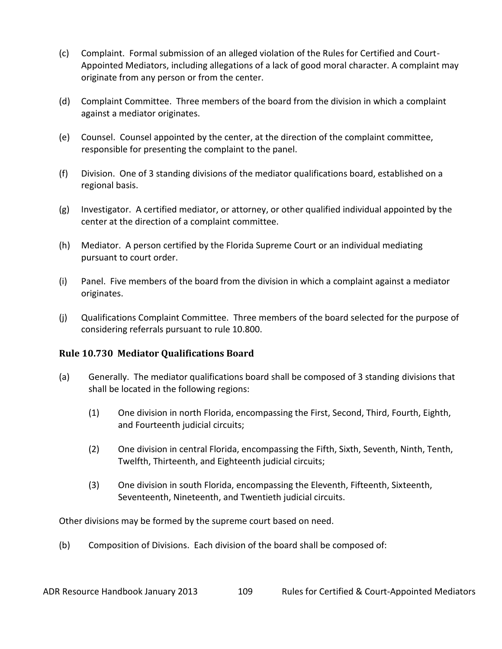- (c) Complaint. Formal submission of an alleged violation of the Rules for Certified and Court-Appointed Mediators, including allegations of a lack of good moral character. A complaint may originate from any person or from the center.
- (d) Complaint Committee. Three members of the board from the division in which a complaint against a mediator originates.
- (e) Counsel. Counsel appointed by the center, at the direction of the complaint committee, responsible for presenting the complaint to the panel.
- (f) Division. One of 3 standing divisions of the mediator qualifications board, established on a regional basis.
- (g) Investigator. A certified mediator, or attorney, or other qualified individual appointed by the center at the direction of a complaint committee.
- (h) Mediator. A person certified by the Florida Supreme Court or an individual mediating pursuant to court order.
- (i) Panel. Five members of the board from the division in which a complaint against a mediator originates.
- (j) Qualifications Complaint Committee. Three members of the board selected for the purpose of considering referrals pursuant to rule 10.800.

#### <span id="page-23-0"></span>**Rule 10.730 Mediator Qualifications Board**

- (a) Generally. The mediator qualifications board shall be composed of 3 standing divisions that shall be located in the following regions:
	- (1) One division in north Florida, encompassing the First, Second, Third, Fourth, Eighth, and Fourteenth judicial circuits;
	- (2) One division in central Florida, encompassing the Fifth, Sixth, Seventh, Ninth, Tenth, Twelfth, Thirteenth, and Eighteenth judicial circuits;
	- (3) One division in south Florida, encompassing the Eleventh, Fifteenth, Sixteenth, Seventeenth, Nineteenth, and Twentieth judicial circuits.

Other divisions may be formed by the supreme court based on need.

(b) Composition of Divisions. Each division of the board shall be composed of: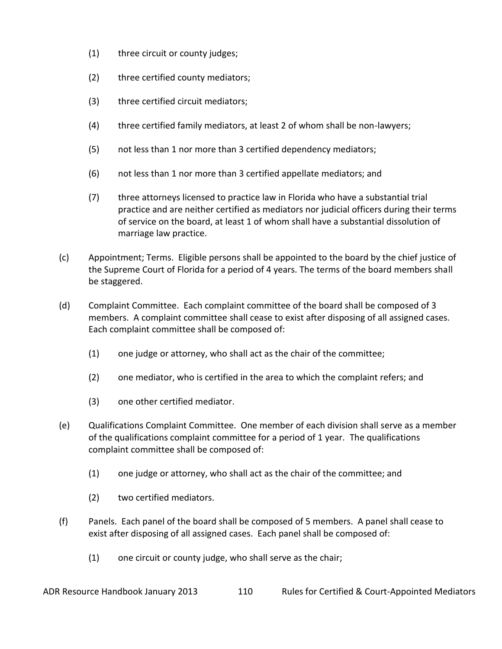- (1) three circuit or county judges;
- (2) three certified county mediators;
- (3) three certified circuit mediators;
- (4) three certified family mediators, at least 2 of whom shall be non-lawyers;
- (5) not less than 1 nor more than 3 certified dependency mediators;
- (6) not less than 1 nor more than 3 certified appellate mediators; and
- (7) three attorneys licensed to practice law in Florida who have a substantial trial practice and are neither certified as mediators nor judicial officers during their terms of service on the board, at least 1 of whom shall have a substantial dissolution of marriage law practice.
- (c) Appointment; Terms. Eligible persons shall be appointed to the board by the chief justice of the Supreme Court of Florida for a period of 4 years. The terms of the board members shall be staggered.
- (d) Complaint Committee. Each complaint committee of the board shall be composed of 3 members. A complaint committee shall cease to exist after disposing of all assigned cases. Each complaint committee shall be composed of:
	- (1) one judge or attorney, who shall act as the chair of the committee;
	- (2) one mediator, who is certified in the area to which the complaint refers; and
	- (3) one other certified mediator.
- (e) Qualifications Complaint Committee. One member of each division shall serve as a member of the qualifications complaint committee for a period of 1 year. The qualifications complaint committee shall be composed of:
	- (1) one judge or attorney, who shall act as the chair of the committee; and
	- (2) two certified mediators.
- (f) Panels. Each panel of the board shall be composed of 5 members. A panel shall cease to exist after disposing of all assigned cases. Each panel shall be composed of:
	- (1) one circuit or county judge, who shall serve as the chair;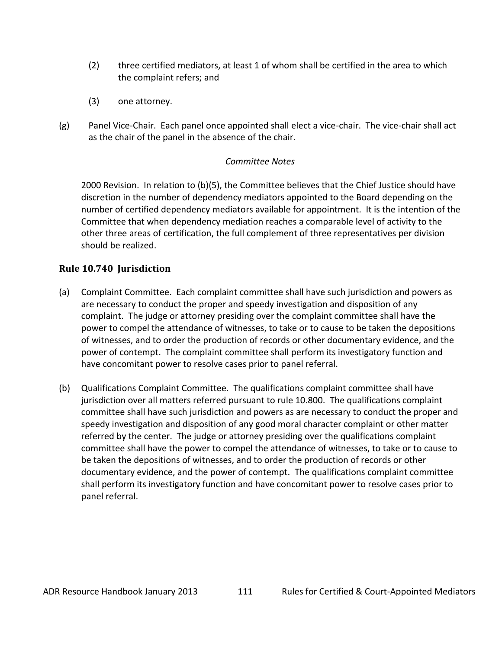- (2) three certified mediators, at least 1 of whom shall be certified in the area to which the complaint refers; and
- (3) one attorney.
- (g) Panel Vice-Chair. Each panel once appointed shall elect a vice-chair. The vice-chair shall act as the chair of the panel in the absence of the chair.

2000 Revision. In relation to (b)(5), the Committee believes that the Chief Justice should have discretion in the number of dependency mediators appointed to the Board depending on the number of certified dependency mediators available for appointment. It is the intention of the Committee that when dependency mediation reaches a comparable level of activity to the other three areas of certification, the full complement of three representatives per division should be realized.

#### <span id="page-25-0"></span>**Rule 10.740 Jurisdiction**

- (a) Complaint Committee. Each complaint committee shall have such jurisdiction and powers as are necessary to conduct the proper and speedy investigation and disposition of any complaint. The judge or attorney presiding over the complaint committee shall have the power to compel the attendance of witnesses, to take or to cause to be taken the depositions of witnesses, and to order the production of records or other documentary evidence, and the power of contempt. The complaint committee shall perform its investigatory function and have concomitant power to resolve cases prior to panel referral.
- (b) Qualifications Complaint Committee. The qualifications complaint committee shall have jurisdiction over all matters referred pursuant to rule 10.800. The qualifications complaint committee shall have such jurisdiction and powers as are necessary to conduct the proper and speedy investigation and disposition of any good moral character complaint or other matter referred by the center. The judge or attorney presiding over the qualifications complaint committee shall have the power to compel the attendance of witnesses, to take or to cause to be taken the depositions of witnesses, and to order the production of records or other documentary evidence, and the power of contempt. The qualifications complaint committee shall perform its investigatory function and have concomitant power to resolve cases prior to panel referral.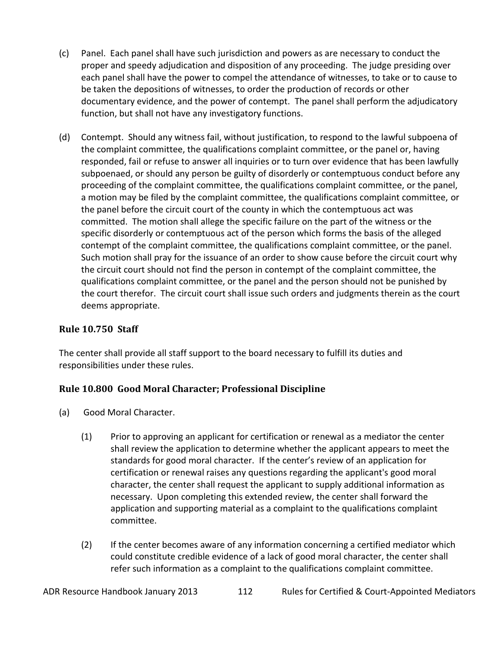- (c) Panel. Each panel shall have such jurisdiction and powers as are necessary to conduct the proper and speedy adjudication and disposition of any proceeding. The judge presiding over each panel shall have the power to compel the attendance of witnesses, to take or to cause to be taken the depositions of witnesses, to order the production of records or other documentary evidence, and the power of contempt. The panel shall perform the adjudicatory function, but shall not have any investigatory functions.
- (d) Contempt. Should any witness fail, without justification, to respond to the lawful subpoena of the complaint committee, the qualifications complaint committee, or the panel or, having responded, fail or refuse to answer all inquiries or to turn over evidence that has been lawfully subpoenaed, or should any person be guilty of disorderly or contemptuous conduct before any proceeding of the complaint committee, the qualifications complaint committee, or the panel, a motion may be filed by the complaint committee, the qualifications complaint committee, or the panel before the circuit court of the county in which the contemptuous act was committed. The motion shall allege the specific failure on the part of the witness or the specific disorderly or contemptuous act of the person which forms the basis of the alleged contempt of the complaint committee, the qualifications complaint committee, or the panel. Such motion shall pray for the issuance of an order to show cause before the circuit court why the circuit court should not find the person in contempt of the complaint committee, the qualifications complaint committee, or the panel and the person should not be punished by the court therefor. The circuit court shall issue such orders and judgments therein as the court deems appropriate.

## <span id="page-26-0"></span>**Rule 10.750 Staff**

The center shall provide all staff support to the board necessary to fulfill its duties and responsibilities under these rules.

### <span id="page-26-1"></span>**Rule 10.800 Good Moral Character; Professional Discipline**

- (a) Good Moral Character.
	- (1) Prior to approving an applicant for certification or renewal as a mediator the center shall review the application to determine whether the applicant appears to meet the standards for good moral character. If the center's review of an application for certification or renewal raises any questions regarding the applicant's good moral character, the center shall request the applicant to supply additional information as necessary. Upon completing this extended review, the center shall forward the application and supporting material as a complaint to the qualifications complaint committee.
	- (2) If the center becomes aware of any information concerning a certified mediator which could constitute credible evidence of a lack of good moral character, the center shall refer such information as a complaint to the qualifications complaint committee.

ADR Resource Handbook January 2013 112 Rules for Certified & Court-Appointed Mediators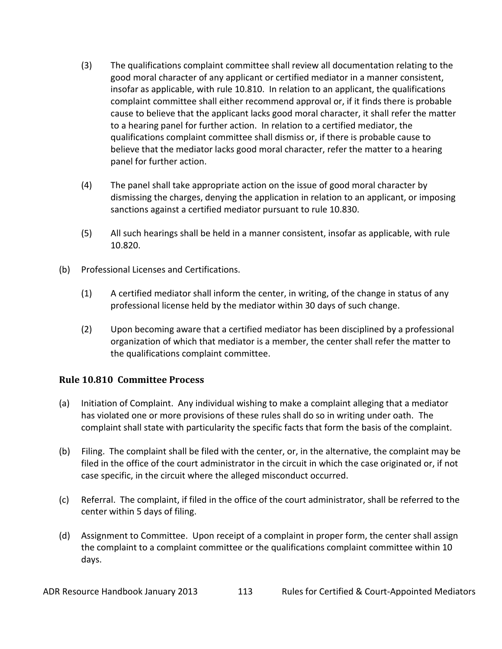- (3) The qualifications complaint committee shall review all documentation relating to the good moral character of any applicant or certified mediator in a manner consistent, insofar as applicable, with rule 10.810. In relation to an applicant, the qualifications complaint committee shall either recommend approval or, if it finds there is probable cause to believe that the applicant lacks good moral character, it shall refer the matter to a hearing panel for further action. In relation to a certified mediator, the qualifications complaint committee shall dismiss or, if there is probable cause to believe that the mediator lacks good moral character, refer the matter to a hearing panel for further action.
- (4) The panel shall take appropriate action on the issue of good moral character by dismissing the charges, denying the application in relation to an applicant, or imposing sanctions against a certified mediator pursuant to rule 10.830.
- (5) All such hearings shall be held in a manner consistent, insofar as applicable, with rule 10.820.
- (b) Professional Licenses and Certifications.
	- (1) A certified mediator shall inform the center, in writing, of the change in status of any professional license held by the mediator within 30 days of such change.
	- (2) Upon becoming aware that a certified mediator has been disciplined by a professional organization of which that mediator is a member, the center shall refer the matter to the qualifications complaint committee.

### <span id="page-27-0"></span>**Rule 10.810 Committee Process**

- (a) Initiation of Complaint. Any individual wishing to make a complaint alleging that a mediator has violated one or more provisions of these rules shall do so in writing under oath. The complaint shall state with particularity the specific facts that form the basis of the complaint.
- (b) Filing. The complaint shall be filed with the center, or, in the alternative, the complaint may be filed in the office of the court administrator in the circuit in which the case originated or, if not case specific, in the circuit where the alleged misconduct occurred.
- (c) Referral. The complaint, if filed in the office of the court administrator, shall be referred to the center within 5 days of filing.
- (d) Assignment to Committee. Upon receipt of a complaint in proper form, the center shall assign the complaint to a complaint committee or the qualifications complaint committee within 10 days.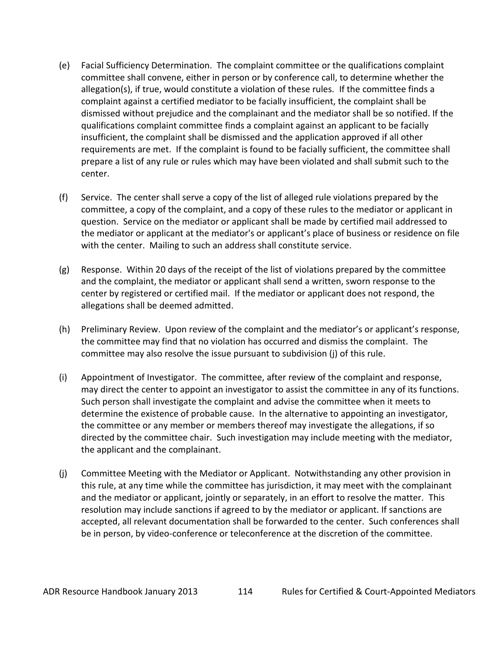- (e) Facial Sufficiency Determination. The complaint committee or the qualifications complaint committee shall convene, either in person or by conference call, to determine whether the allegation(s), if true, would constitute a violation of these rules. If the committee finds a complaint against a certified mediator to be facially insufficient, the complaint shall be dismissed without prejudice and the complainant and the mediator shall be so notified. If the qualifications complaint committee finds a complaint against an applicant to be facially insufficient, the complaint shall be dismissed and the application approved if all other requirements are met. If the complaint is found to be facially sufficient, the committee shall prepare a list of any rule or rules which may have been violated and shall submit such to the center.
- (f) Service. The center shall serve a copy of the list of alleged rule violations prepared by the committee, a copy of the complaint, and a copy of these rules to the mediator or applicant in question. Service on the mediator or applicant shall be made by certified mail addressed to the mediator or applicant at the mediator's or applicant's place of business or residence on file with the center. Mailing to such an address shall constitute service.
- (g) Response. Within 20 days of the receipt of the list of violations prepared by the committee and the complaint, the mediator or applicant shall send a written, sworn response to the center by registered or certified mail. If the mediator or applicant does not respond, the allegations shall be deemed admitted.
- (h) Preliminary Review. Upon review of the complaint and the mediator's or applicant's response, the committee may find that no violation has occurred and dismiss the complaint. The committee may also resolve the issue pursuant to subdivision (j) of this rule.
- (i) Appointment of Investigator. The committee, after review of the complaint and response, may direct the center to appoint an investigator to assist the committee in any of its functions. Such person shall investigate the complaint and advise the committee when it meets to determine the existence of probable cause. In the alternative to appointing an investigator, the committee or any member or members thereof may investigate the allegations, if so directed by the committee chair. Such investigation may include meeting with the mediator, the applicant and the complainant.
- (j) Committee Meeting with the Mediator or Applicant. Notwithstanding any other provision in this rule, at any time while the committee has jurisdiction, it may meet with the complainant and the mediator or applicant, jointly or separately, in an effort to resolve the matter. This resolution may include sanctions if agreed to by the mediator or applicant. If sanctions are accepted, all relevant documentation shall be forwarded to the center. Such conferences shall be in person, by video-conference or teleconference at the discretion of the committee.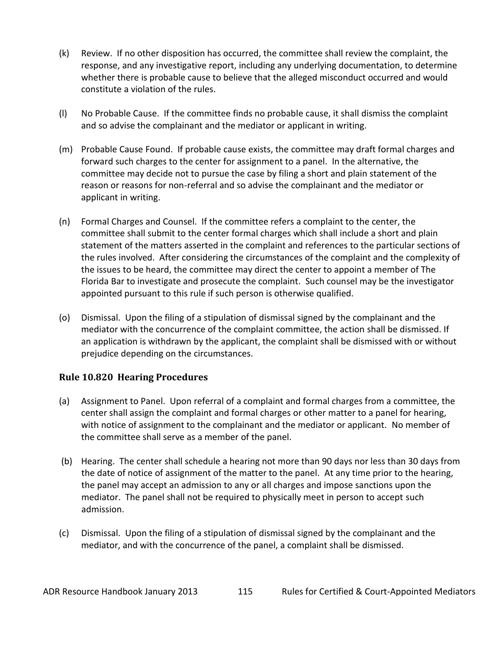- (k) Review. If no other disposition has occurred, the committee shall review the complaint, the response, and any investigative report, including any underlying documentation, to determine whether there is probable cause to believe that the alleged misconduct occurred and would constitute a violation of the rules.
- (l) No Probable Cause. If the committee finds no probable cause, it shall dismiss the complaint and so advise the complainant and the mediator or applicant in writing.
- (m) Probable Cause Found. If probable cause exists, the committee may draft formal charges and forward such charges to the center for assignment to a panel. In the alternative, the committee may decide not to pursue the case by filing a short and plain statement of the reason or reasons for non-referral and so advise the complainant and the mediator or applicant in writing.
- (n) Formal Charges and Counsel. If the committee refers a complaint to the center, the committee shall submit to the center formal charges which shall include a short and plain statement of the matters asserted in the complaint and references to the particular sections of the rules involved. After considering the circumstances of the complaint and the complexity of the issues to be heard, the committee may direct the center to appoint a member of The Florida Bar to investigate and prosecute the complaint. Such counsel may be the investigator appointed pursuant to this rule if such person is otherwise qualified.
- (o) Dismissal. Upon the filing of a stipulation of dismissal signed by the complainant and the mediator with the concurrence of the complaint committee, the action shall be dismissed. If an application is withdrawn by the applicant, the complaint shall be dismissed with or without prejudice depending on the circumstances.

### <span id="page-29-0"></span>**Rule 10.820 Hearing Procedures**

- (a) Assignment to Panel. Upon referral of a complaint and formal charges from a committee, the center shall assign the complaint and formal charges or other matter to a panel for hearing, with notice of assignment to the complainant and the mediator or applicant. No member of the committee shall serve as a member of the panel.
- (b) Hearing. The center shall schedule a hearing not more than 90 days nor less than 30 days from the date of notice of assignment of the matter to the panel. At any time prior to the hearing, the panel may accept an admission to any or all charges and impose sanctions upon the mediator. The panel shall not be required to physically meet in person to accept such admission.
- (c) Dismissal. Upon the filing of a stipulation of dismissal signed by the complainant and the mediator, and with the concurrence of the panel, a complaint shall be dismissed.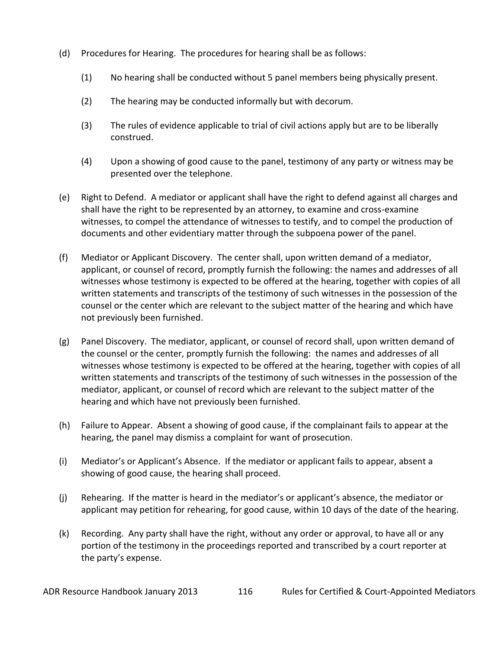- (d) Procedures for Hearing. The procedures for hearing shall be as follows:
	- (1) No hearing shall be conducted without 5 panel members being physically present.
	- (2) The hearing may be conducted informally but with decorum.
	- (3) The rules of evidence applicable to trial of civil actions apply but are to be liberally construed.
	- (4) Upon a showing of good cause to the panel, testimony of any party or witness may be presented over the telephone.
- (e) Right to Defend. A mediator or applicant shall have the right to defend against all charges and shall have the right to be represented by an attorney, to examine and cross-examine witnesses, to compel the attendance of witnesses to testify, and to compel the production of documents and other evidentiary matter through the subpoena power of the panel.
- (f) Mediator or Applicant Discovery. The center shall, upon written demand of a mediator, applicant, or counsel of record, promptly furnish the following: the names and addresses of all witnesses whose testimony is expected to be offered at the hearing, together with copies of all written statements and transcripts of the testimony of such witnesses in the possession of the counsel or the center which are relevant to the subject matter of the hearing and which have not previously been furnished.
- (g) Panel Discovery. The mediator, applicant, or counsel of record shall, upon written demand of the counsel or the center, promptly furnish the following: the names and addresses of all witnesses whose testimony is expected to be offered at the hearing, together with copies of all written statements and transcripts of the testimony of such witnesses in the possession of the mediator, applicant, or counsel of record which are relevant to the subject matter of the hearing and which have not previously been furnished.
- (h) Failure to Appear. Absent a showing of good cause, if the complainant fails to appear at the hearing, the panel may dismiss a complaint for want of prosecution.
- (i) Mediator's or Applicant's Absence. If the mediator or applicant fails to appear, absent a showing of good cause, the hearing shall proceed.
- (j) Rehearing. If the matter is heard in the mediator's or applicant's absence, the mediator or applicant may petition for rehearing, for good cause, within 10 days of the date of the hearing.
- (k) Recording. Any party shall have the right, without any order or approval, to have all or any portion of the testimony in the proceedings reported and transcribed by a court reporter at the party's expense.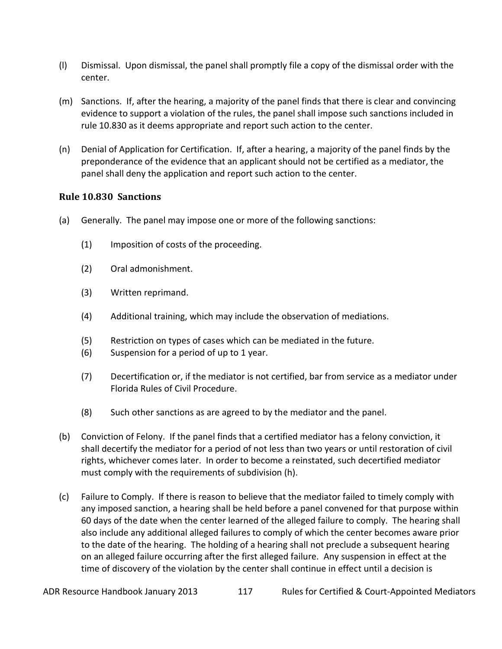- (l) Dismissal. Upon dismissal, the panel shall promptly file a copy of the dismissal order with the center.
- (m) Sanctions. If, after the hearing, a majority of the panel finds that there is clear and convincing evidence to support a violation of the rules, the panel shall impose such sanctions included in rule 10.830 as it deems appropriate and report such action to the center.
- (n) Denial of Application for Certification. If, after a hearing, a majority of the panel finds by the preponderance of the evidence that an applicant should not be certified as a mediator, the panel shall deny the application and report such action to the center.

### <span id="page-31-0"></span>**Rule 10.830 Sanctions**

- (a) Generally. The panel may impose one or more of the following sanctions:
	- (1) Imposition of costs of the proceeding.
	- (2) Oral admonishment.
	- (3) Written reprimand.
	- (4) Additional training, which may include the observation of mediations.
	- (5) Restriction on types of cases which can be mediated in the future.
	- (6) Suspension for a period of up to 1 year.
	- (7) Decertification or, if the mediator is not certified, bar from service as a mediator under Florida Rules of Civil Procedure.
	- (8) Such other sanctions as are agreed to by the mediator and the panel.
- (b) Conviction of Felony. If the panel finds that a certified mediator has a felony conviction, it shall decertify the mediator for a period of not less than two years or until restoration of civil rights, whichever comes later. In order to become a reinstated, such decertified mediator must comply with the requirements of subdivision (h).
- (c) Failure to Comply. If there is reason to believe that the mediator failed to timely comply with any imposed sanction, a hearing shall be held before a panel convened for that purpose within 60 days of the date when the center learned of the alleged failure to comply. The hearing shall also include any additional alleged failures to comply of which the center becomes aware prior to the date of the hearing. The holding of a hearing shall not preclude a subsequent hearing on an alleged failure occurring after the first alleged failure. Any suspension in effect at the time of discovery of the violation by the center shall continue in effect until a decision is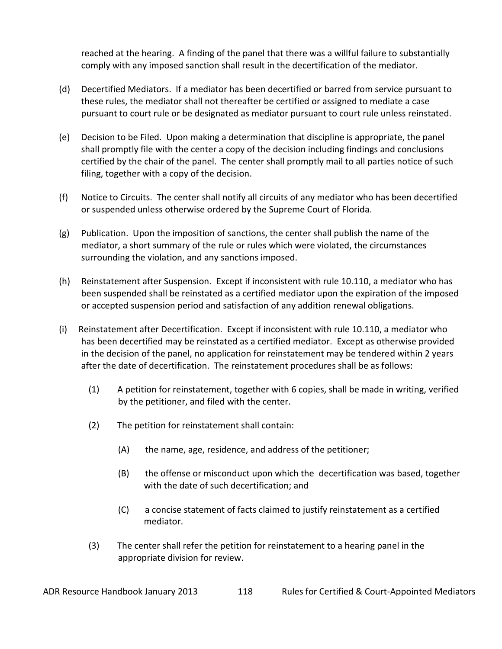reached at the hearing. A finding of the panel that there was a willful failure to substantially comply with any imposed sanction shall result in the decertification of the mediator.

- (d) Decertified Mediators. If a mediator has been decertified or barred from service pursuant to these rules, the mediator shall not thereafter be certified or assigned to mediate a case pursuant to court rule or be designated as mediator pursuant to court rule unless reinstated.
- (e) Decision to be Filed. Upon making a determination that discipline is appropriate, the panel shall promptly file with the center a copy of the decision including findings and conclusions certified by the chair of the panel. The center shall promptly mail to all parties notice of such filing, together with a copy of the decision.
- (f) Notice to Circuits. The center shall notify all circuits of any mediator who has been decertified or suspended unless otherwise ordered by the Supreme Court of Florida.
- (g) Publication. Upon the imposition of sanctions, the center shall publish the name of the mediator, a short summary of the rule or rules which were violated, the circumstances surrounding the violation, and any sanctions imposed.
- (h) Reinstatement after Suspension. Except if inconsistent with rule 10.110, a mediator who has been suspended shall be reinstated as a certified mediator upon the expiration of the imposed or accepted suspension period and satisfaction of any addition renewal obligations.
- (i) Reinstatement after Decertification. Except if inconsistent with rule 10.110, a mediator who has been decertified may be reinstated as a certified mediator. Except as otherwise provided in the decision of the panel, no application for reinstatement may be tendered within 2 years after the date of decertification. The reinstatement procedures shall be as follows:
	- (1) A petition for reinstatement, together with 6 copies, shall be made in writing, verified by the petitioner, and filed with the center.
	- (2) The petition for reinstatement shall contain:
		- (A) the name, age, residence, and address of the petitioner;
		- (B) the offense or misconduct upon which the decertification was based, together with the date of such decertification; and
		- (C) a concise statement of facts claimed to justify reinstatement as a certified mediator.
	- (3) The center shall refer the petition for reinstatement to a hearing panel in the appropriate division for review.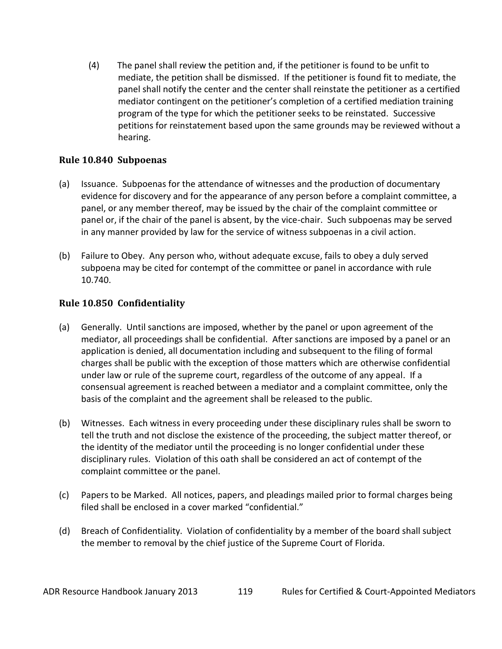(4) The panel shall review the petition and, if the petitioner is found to be unfit to mediate, the petition shall be dismissed. If the petitioner is found fit to mediate, the panel shall notify the center and the center shall reinstate the petitioner as a certified mediator contingent on the petitioner's completion of a certified mediation training program of the type for which the petitioner seeks to be reinstated. Successive petitions for reinstatement based upon the same grounds may be reviewed without a hearing.

#### <span id="page-33-0"></span>**Rule 10.840 Subpoenas**

- (a) Issuance. Subpoenas for the attendance of witnesses and the production of documentary evidence for discovery and for the appearance of any person before a complaint committee, a panel, or any member thereof, may be issued by the chair of the complaint committee or panel or, if the chair of the panel is absent, by the vice-chair. Such subpoenas may be served in any manner provided by law for the service of witness subpoenas in a civil action.
- (b) Failure to Obey. Any person who, without adequate excuse, fails to obey a duly served subpoena may be cited for contempt of the committee or panel in accordance with rule 10.740.

#### <span id="page-33-1"></span>**Rule 10.850 Confidentiality**

- (a) Generally. Until sanctions are imposed, whether by the panel or upon agreement of the mediator, all proceedings shall be confidential. After sanctions are imposed by a panel or an application is denied, all documentation including and subsequent to the filing of formal charges shall be public with the exception of those matters which are otherwise confidential under law or rule of the supreme court, regardless of the outcome of any appeal. If a consensual agreement is reached between a mediator and a complaint committee, only the basis of the complaint and the agreement shall be released to the public.
- (b) Witnesses. Each witness in every proceeding under these disciplinary rules shall be sworn to tell the truth and not disclose the existence of the proceeding, the subject matter thereof, or the identity of the mediator until the proceeding is no longer confidential under these disciplinary rules. Violation of this oath shall be considered an act of contempt of the complaint committee or the panel.
- (c) Papers to be Marked. All notices, papers, and pleadings mailed prior to formal charges being filed shall be enclosed in a cover marked "confidential."
- (d) Breach of Confidentiality. Violation of confidentiality by a member of the board shall subject the member to removal by the chief justice of the Supreme Court of Florida.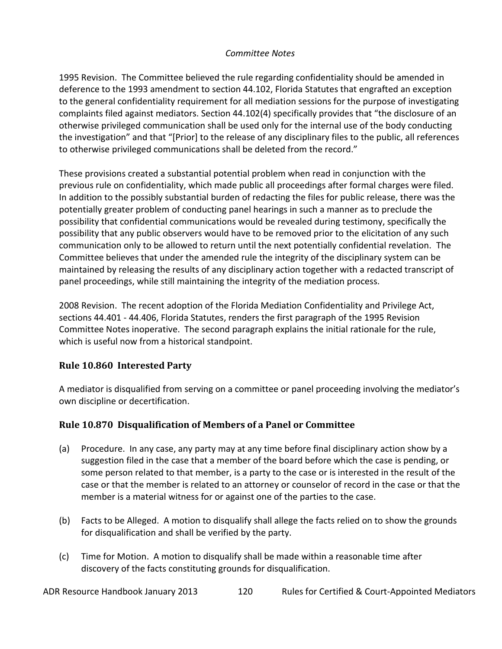1995 Revision. The Committee believed the rule regarding confidentiality should be amended in deference to the 1993 amendment to section 44.102, Florida Statutes that engrafted an exception to the general confidentiality requirement for all mediation sessions for the purpose of investigating complaints filed against mediators. Section 44.102(4) specifically provides that "the disclosure of an otherwise privileged communication shall be used only for the internal use of the body conducting the investigation" and that "[Prior] to the release of any disciplinary files to the public, all references to otherwise privileged communications shall be deleted from the record."

These provisions created a substantial potential problem when read in conjunction with the previous rule on confidentiality, which made public all proceedings after formal charges were filed. In addition to the possibly substantial burden of redacting the files for public release, there was the potentially greater problem of conducting panel hearings in such a manner as to preclude the possibility that confidential communications would be revealed during testimony, specifically the possibility that any public observers would have to be removed prior to the elicitation of any such communication only to be allowed to return until the next potentially confidential revelation. The Committee believes that under the amended rule the integrity of the disciplinary system can be maintained by releasing the results of any disciplinary action together with a redacted transcript of panel proceedings, while still maintaining the integrity of the mediation process.

2008 Revision. The recent adoption of the Florida Mediation Confidentiality and Privilege Act, sections 44.401 - 44.406, Florida Statutes, renders the first paragraph of the 1995 Revision Committee Notes inoperative. The second paragraph explains the initial rationale for the rule, which is useful now from a historical standpoint.

### <span id="page-34-0"></span>**Rule 10.860 Interested Party**

A mediator is disqualified from serving on a committee or panel proceeding involving the mediator's own discipline or decertification.

## <span id="page-34-1"></span>**Rule 10.870 Disqualification of Members of a Panel or Committee**

- (a) Procedure. In any case, any party may at any time before final disciplinary action show by a suggestion filed in the case that a member of the board before which the case is pending, or some person related to that member, is a party to the case or is interested in the result of the case or that the member is related to an attorney or counselor of record in the case or that the member is a material witness for or against one of the parties to the case.
- (b) Facts to be Alleged. A motion to disqualify shall allege the facts relied on to show the grounds for disqualification and shall be verified by the party.
- (c) Time for Motion. A motion to disqualify shall be made within a reasonable time after discovery of the facts constituting grounds for disqualification.

ADR Resource Handbook January 2013 120 Rules for Certified & Court-Appointed Mediators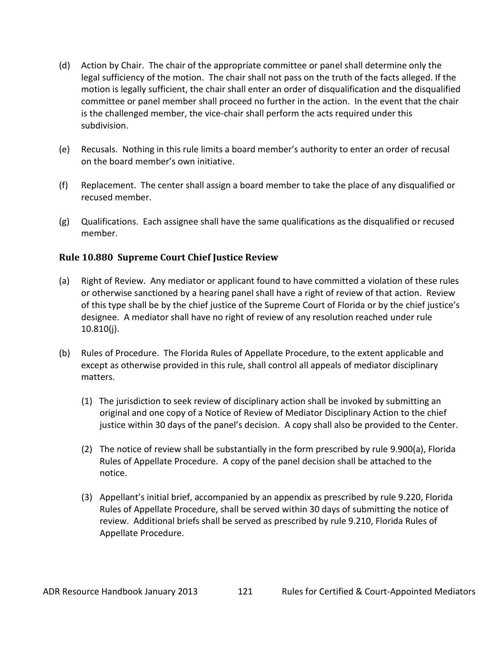- (d) Action by Chair. The chair of the appropriate committee or panel shall determine only the legal sufficiency of the motion. The chair shall not pass on the truth of the facts alleged. If the motion is legally sufficient, the chair shall enter an order of disqualification and the disqualified committee or panel member shall proceed no further in the action. In the event that the chair is the challenged member, the vice-chair shall perform the acts required under this subdivision.
- (e) Recusals. Nothing in this rule limits a board member's authority to enter an order of recusal on the board member's own initiative.
- (f) Replacement. The center shall assign a board member to take the place of any disqualified or recused member.
- (g) Qualifications. Each assignee shall have the same qualifications as the disqualified or recused member.

### <span id="page-35-0"></span>**Rule 10.880 Supreme Court Chief Justice Review**

- (a) Right of Review. Any mediator or applicant found to have committed a violation of these rules or otherwise sanctioned by a hearing panel shall have a right of review of that action. Review of this type shall be by the chief justice of the Supreme Court of Florida or by the chief justice's designee. A mediator shall have no right of review of any resolution reached under rule 10.810(j).
- (b) Rules of Procedure. The Florida Rules of Appellate Procedure, to the extent applicable and except as otherwise provided in this rule, shall control all appeals of mediator disciplinary matters.
	- (1) The jurisdiction to seek review of disciplinary action shall be invoked by submitting an original and one copy of a Notice of Review of Mediator Disciplinary Action to the chief justice within 30 days of the panel's decision. A copy shall also be provided to the Center.
	- (2) The notice of review shall be substantially in the form prescribed by rule 9.900(a), Florida Rules of Appellate Procedure. A copy of the panel decision shall be attached to the notice.
	- (3) Appellant's initial brief, accompanied by an appendix as prescribed by rule 9.220, Florida Rules of Appellate Procedure, shall be served within 30 days of submitting the notice of review. Additional briefs shall be served as prescribed by rule 9.210, Florida Rules of Appellate Procedure.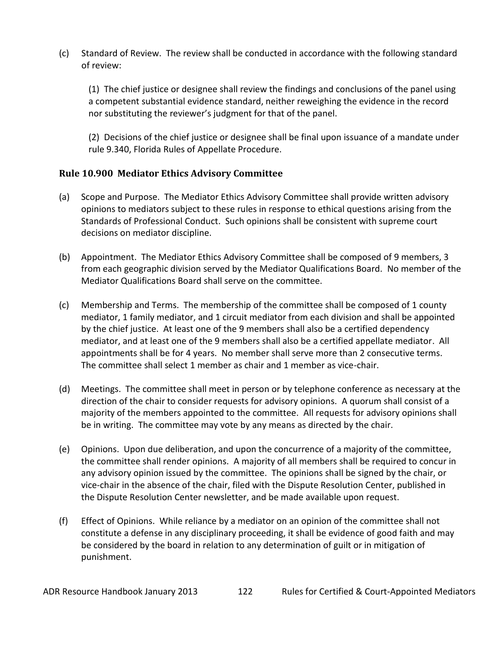(c) Standard of Review. The review shall be conducted in accordance with the following standard of review:

(1) The chief justice or designee shall review the findings and conclusions of the panel using a competent substantial evidence standard, neither reweighing the evidence in the record nor substituting the reviewer's judgment for that of the panel.

(2) Decisions of the chief justice or designee shall be final upon issuance of a mandate under rule 9.340, Florida Rules of Appellate Procedure.

### <span id="page-36-0"></span>**Rule 10.900 Mediator Ethics Advisory Committee**

- (a) Scope and Purpose. The Mediator Ethics Advisory Committee shall provide written advisory opinions to mediators subject to these rules in response to ethical questions arising from the Standards of Professional Conduct. Such opinions shall be consistent with supreme court decisions on mediator discipline.
- (b) Appointment. The Mediator Ethics Advisory Committee shall be composed of 9 members, 3 from each geographic division served by the Mediator Qualifications Board. No member of the Mediator Qualifications Board shall serve on the committee.
- (c) Membership and Terms. The membership of the committee shall be composed of 1 county mediator, 1 family mediator, and 1 circuit mediator from each division and shall be appointed by the chief justice. At least one of the 9 members shall also be a certified dependency mediator, and at least one of the 9 members shall also be a certified appellate mediator. All appointments shall be for 4 years. No member shall serve more than 2 consecutive terms. The committee shall select 1 member as chair and 1 member as vice-chair.
- (d) Meetings. The committee shall meet in person or by telephone conference as necessary at the direction of the chair to consider requests for advisory opinions. A quorum shall consist of a majority of the members appointed to the committee. All requests for advisory opinions shall be in writing. The committee may vote by any means as directed by the chair.
- (e) Opinions. Upon due deliberation, and upon the concurrence of a majority of the committee, the committee shall render opinions. A majority of all members shall be required to concur in any advisory opinion issued by the committee. The opinions shall be signed by the chair, or vice-chair in the absence of the chair, filed with the Dispute Resolution Center, published in the Dispute Resolution Center newsletter, and be made available upon request.
- (f) Effect of Opinions. While reliance by a mediator on an opinion of the committee shall not constitute a defense in any disciplinary proceeding, it shall be evidence of good faith and may be considered by the board in relation to any determination of guilt or in mitigation of punishment.